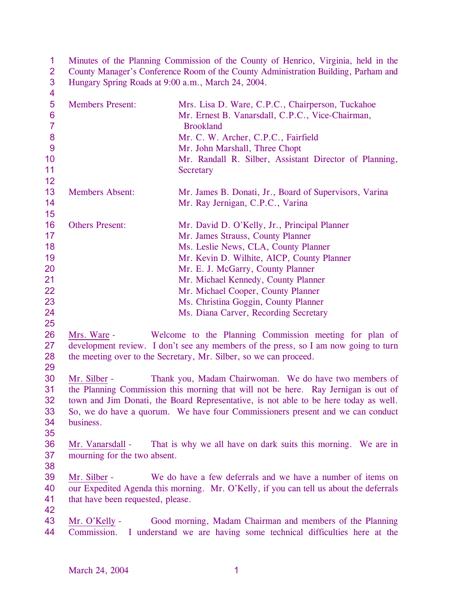| 1<br>$\overline{2}$<br>$\mathbf{3}$                                    | Minutes of the Planning Commission of the County of Henrico, Virginia, held in the<br>County Manager's Conference Room of the County Administration Building, Parham and<br>Hungary Spring Roads at 9:00 a.m., March 24, 2004. |                                                                                                                                                                                                                                                                                                                                                                            |  |  |  |  |  |
|------------------------------------------------------------------------|--------------------------------------------------------------------------------------------------------------------------------------------------------------------------------------------------------------------------------|----------------------------------------------------------------------------------------------------------------------------------------------------------------------------------------------------------------------------------------------------------------------------------------------------------------------------------------------------------------------------|--|--|--|--|--|
| $\overline{\mathbf{4}}$<br>5<br>$6\phantom{1}6$<br>$\overline{7}$<br>8 | <b>Members Present:</b>                                                                                                                                                                                                        | Mrs. Lisa D. Ware, C.P.C., Chairperson, Tuckahoe<br>Mr. Ernest B. Vanarsdall, C.P.C., Vice-Chairman,<br><b>Brookland</b><br>Mr. C. W. Archer, C.P.C., Fairfield                                                                                                                                                                                                            |  |  |  |  |  |
| 9<br>10<br>11<br>12                                                    |                                                                                                                                                                                                                                | Mr. John Marshall, Three Chopt<br>Mr. Randall R. Silber, Assistant Director of Planning,<br>Secretary                                                                                                                                                                                                                                                                      |  |  |  |  |  |
| 13<br>14<br>15                                                         | <b>Members Absent:</b>                                                                                                                                                                                                         | Mr. James B. Donati, Jr., Board of Supervisors, Varina<br>Mr. Ray Jernigan, C.P.C., Varina                                                                                                                                                                                                                                                                                 |  |  |  |  |  |
| 16<br>17<br>18<br>19<br>20<br>21<br>22<br>23<br>24<br>25               | <b>Others Present:</b>                                                                                                                                                                                                         | Mr. David D. O'Kelly, Jr., Principal Planner<br>Mr. James Strauss, County Planner<br>Ms. Leslie News, CLA, County Planner<br>Mr. Kevin D. Wilhite, AICP, County Planner<br>Mr. E. J. McGarry, County Planner<br>Mr. Michael Kennedy, County Planner<br>Mr. Michael Cooper, County Planner<br>Ms. Christina Goggin, County Planner<br>Ms. Diana Carver, Recording Secretary |  |  |  |  |  |
| 26<br>27<br>28<br>29                                                   | Mrs. Ware -                                                                                                                                                                                                                    | Welcome to the Planning Commission meeting for plan of<br>development review. I don't see any members of the press, so I am now going to turn<br>the meeting over to the Secretary, Mr. Silber, so we can proceed.                                                                                                                                                         |  |  |  |  |  |
| 30<br>31<br>32<br>33<br>34<br>35                                       | Mr. Silber -<br>business.                                                                                                                                                                                                      | Thank you, Madam Chairwoman. We do have two members of<br>the Planning Commission this morning that will not be here. Ray Jernigan is out of<br>town and Jim Donati, the Board Representative, is not able to be here today as well.<br>So, we do have a quorum. We have four Commissioners present and we can conduct                                                     |  |  |  |  |  |
| 36<br>37<br>38                                                         | Mr. Vanarsdall -<br>mourning for the two absent.                                                                                                                                                                               | That is why we all have on dark suits this morning. We are in                                                                                                                                                                                                                                                                                                              |  |  |  |  |  |
| 39<br>40<br>41<br>42                                                   | Mr. Silber -<br>that have been requested, please.                                                                                                                                                                              | We do have a few deferrals and we have a number of items on<br>our Expedited Agenda this morning. Mr. O'Kelly, if you can tell us about the deferrals                                                                                                                                                                                                                      |  |  |  |  |  |
| 43<br>44                                                               | Mr. O'Kelly -<br>Commission.                                                                                                                                                                                                   | Good morning, Madam Chairman and members of the Planning<br>I understand we are having some technical difficulties here at the                                                                                                                                                                                                                                             |  |  |  |  |  |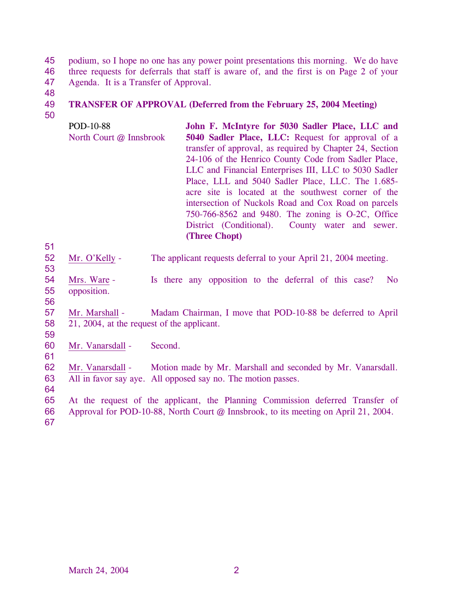45 46 47 podium, so I hope no one has any power point presentations this morning. We do have three requests for deferrals that staff is aware of, and the first is on Page 2 of your Agenda. It is a Transfer of Approval.

48

#### 49 **TRANSFER OF APPROVAL (Deferred from the February 25, 2004 Meeting)**

50

POD-10-88 North Court @ Innsbrook **John F. McIntyre for 5030 Sadler Place, LLC and 5040 Sadler Place, LLC:** Request for approval of a transfer of approval, as required by Chapter 24, Section 24-106 of the Henrico County Code from Sadler Place, LLC and Financial Enterprises III, LLC to 5030 Sadler Place, LLL and 5040 Sadler Place, LLC. The 1.685 acre site is located at the southwest corner of the intersection of Nuckols Road and Cox Road on parcels 750-766-8562 and 9480. The zoning is O-2C, Office District (Conditional). County water and sewer. **(Three Chopt)** 

|    | 52 Mr. O'Kelly - | The applicant requests deferral to your April 21, 2004 meeting. |
|----|------------------|-----------------------------------------------------------------|
| 53 |                  |                                                                 |

54 55 Mrs. Ware - Is there any opposition to the deferral of this case? No opposition.

56

51

57 58 Mr. Marshall - Madam Chairman, I move that POD-10-88 be deferred to April 21, 2004, at the request of the applicant.

59

60 61 Mr. Vanarsdall - Second.

62 63 Mr. Vanarsdall - Motion made by Mr. Marshall and seconded by Mr. Vanarsdall. All in favor say aye. All opposed say no. The motion passes.

64

65 At the request of the applicant, the Planning Commission deferred Transfer of

- 66 Approval for POD-10-88, North Court @ Innsbrook, to its meeting on April 21, 2004.
- 67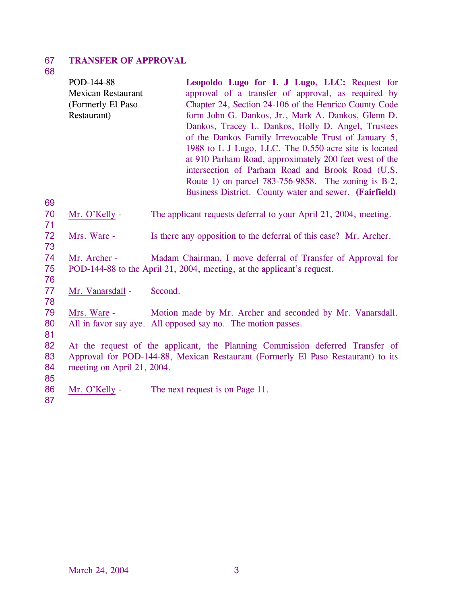### 67 **TRANSFER OF APPROVAL**

# 68

|    | POD-144-88                 | Leopoldo Lugo for L J Lugo, LLC: Request for                                     |
|----|----------------------------|----------------------------------------------------------------------------------|
|    | <b>Mexican Restaurant</b>  | approval of a transfer of approval, as required by                               |
|    | (Formerly El Paso          | Chapter 24, Section 24-106 of the Henrico County Code                            |
|    | Restaurant)                | form John G. Dankos, Jr., Mark A. Dankos, Glenn D.                               |
|    |                            | Dankos, Tracey L. Dankos, Holly D. Angel, Trustees                               |
|    |                            | of the Dankos Family Irrevocable Trust of January 5,                             |
|    |                            | 1988 to L J Lugo, LLC. The 0.550-acre site is located                            |
|    |                            | at 910 Parham Road, approximately 200 feet west of the                           |
|    |                            | intersection of Parham Road and Brook Road (U.S.                                 |
|    |                            | Route 1) on parcel 783-756-9858. The zoning is B-2,                              |
|    |                            | Business District. County water and sewer. (Fairfield)                           |
| 69 |                            |                                                                                  |
| 70 | Mr. O'Kelly -              | The applicant requests deferral to your April 21, 2004, meeting.                 |
| 71 |                            |                                                                                  |
| 72 | Mrs. Ware -                | Is there any opposition to the deferral of this case? Mr. Archer.                |
| 73 |                            |                                                                                  |
| 74 | Mr. Archer -               | Madam Chairman, I move deferral of Transfer of Approval for                      |
| 75 |                            | POD-144-88 to the April 21, 2004, meeting, at the applicant's request.           |
| 76 |                            |                                                                                  |
| 77 | Mr. Vanarsdall -           | Second.                                                                          |
| 78 |                            |                                                                                  |
| 79 | Mrs. Ware -                | Motion made by Mr. Archer and seconded by Mr. Vanarsdall.                        |
| 80 |                            | All in favor say aye. All opposed say no. The motion passes.                     |
| 81 |                            |                                                                                  |
| 82 |                            | At the request of the applicant, the Planning Commission deferred Transfer of    |
| 83 |                            | Approval for POD-144-88, Mexican Restaurant (Formerly El Paso Restaurant) to its |
| 84 | meeting on April 21, 2004. |                                                                                  |
| 85 |                            |                                                                                  |
| 86 | Mr. O'Kelly -              | The next request is on Page 11.                                                  |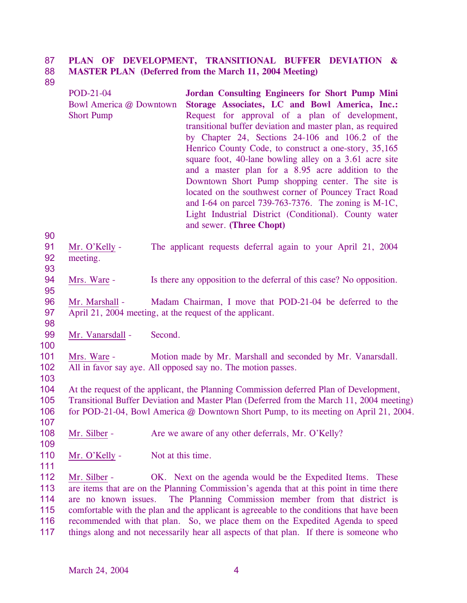#### 87 88 **PLAN OF DEVELOPMENT, TRANSITIONAL BUFFER DEVIATION & MASTER PLAN (Deferred from the March 11, 2004 Meeting)**

89

POD-21-04 Bowl America @ Downtown Short Pump **Jordan Consulting Engineers for Short Pump Mini Storage Associates, LC and Bowl America, Inc.:**  Request for approval of a plan of development, transitional buffer deviation and master plan, as required by Chapter 24, Sections 24-106 and 106.2 of the Henrico County Code, to construct a one-story, 35,165 square foot, 40-lane bowling alley on a 3.61 acre site and a master plan for a 8.95 acre addition to the Downtown Short Pump shopping center. The site is located on the southwest corner of Pouncey Tract Road and I-64 on parcel 739-763-7376. The zoning is M-1C, Light Industrial District (Conditional). County water and sewer. **(Three Chopt)** 

| 91 Mr. O'Kelly - | The applicant requests deferral again to your April 21, 2004 |  |  |  |  |
|------------------|--------------------------------------------------------------|--|--|--|--|
| 92 meeting.      |                                                              |  |  |  |  |

93

95

98

90

94 Mrs. Ware - Is there any opposition to the deferral of this case? No opposition.

96 97 Mr. Marshall - Madam Chairman, I move that POD-21-04 be deferred to the April 21, 2004 meeting, at the request of the applicant.

- 99 Mr. Vanarsdall - Second.
- 100

103

109

111

101 102 Mrs. Ware - Motion made by Mr. Marshall and seconded by Mr. Vanarsdall. All in favor say aye. All opposed say no. The motion passes.

104 105 106 107 At the request of the applicant, the Planning Commission deferred Plan of Development, Transitional Buffer Deviation and Master Plan (Deferred from the March 11, 2004 meeting) for POD-21-04, Bowl America @ Downtown Short Pump, to its meeting on April 21, 2004.

108 Mr. Silber - Are we aware of any other deferrals, Mr. O'Kelly?

110 Mr. O'Kelly - Not at this time.

Mr. Silber - OK. Next on the agenda would be the Expedited Items. These are items that are on the Planning Commission's agenda that at this point in time there are no known issues. The Planning Commission member from that district is comfortable with the plan and the applicant is agreeable to the conditions that have been recommended with that plan. So, we place them on the Expedited Agenda to speed things along and not necessarily hear all aspects of that plan. If there is someone who 112 113 114 115 116 117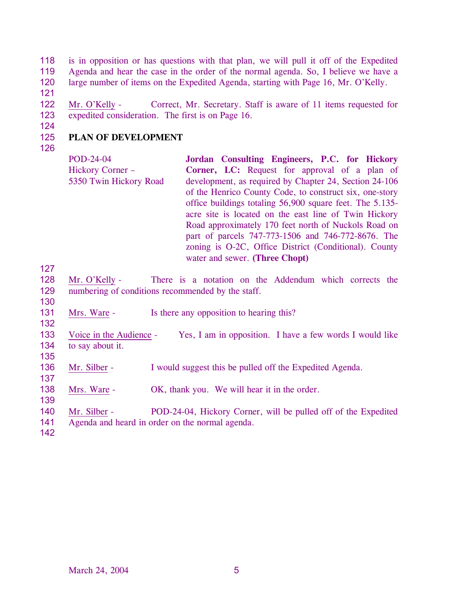118 119 120 is in opposition or has questions with that plan, we will pull it off of the Expedited Agenda and hear the case in the order of the normal agenda. So, I believe we have a large number of items on the Expedited Agenda, starting with Page 16, Mr. O'Kelly.

121

122 123 Mr. O'Kelly - Correct, Mr. Secretary. Staff is aware of 11 items requested for expedited consideration. The first is on Page 16.

124

127

130

132

135

137

139

# 125 126 **PLAN OF DEVELOPMENT**

| POD-24-04               | Jordan Consulting Engineers, P.C. for Hickory            |
|-------------------------|----------------------------------------------------------|
| <b>Hickory Corner –</b> | Corner, LC: Request for approval of a plan of            |
| 5350 Twin Hickory Road  | development, as required by Chapter 24, Section 24-106   |
|                         | of the Henrico County Code, to construct six, one-story  |
|                         | office buildings totaling 56,900 square feet. The 5.135- |
|                         | acre site is located on the east line of Twin Hickory    |
|                         | Road approximately 170 feet north of Nuckols Road on     |
|                         | part of parcels 747-773-1506 and 746-772-8676. The       |
|                         | zoning is O-2C, Office District (Conditional). County    |
|                         | water and sewer. (Three Chopt)                           |
|                         |                                                          |

- 128 129 Mr. O'Kelly - There is a notation on the Addendum which corrects the numbering of conditions recommended by the staff.
- 131 Mrs. Ware - Is there any opposition to hearing this?
- 133 134 Voice in the Audience - Yes, I am in opposition. I have a few words I would like to say about it.
- 136 Mr. Silber - I would suggest this be pulled off the Expedited Agenda.
- 138 Mrs. Ware - OK, thank you. We will hear it in the order.
- Mr. Silber POD-24-04, Hickory Corner, will be pulled off of the Expedited 140
- Agenda and heard in order on the normal agenda. 141
- 142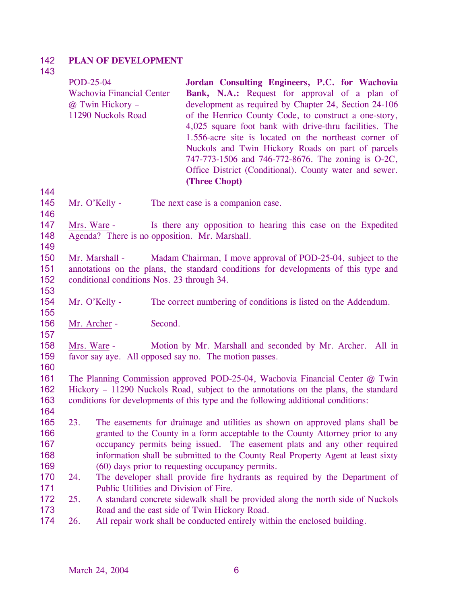#### 142 **PLAN OF DEVELOPMENT**

# 143

144

146

149

153

155

157

160

164

| POD-25-04                        | Jordan Consulting Engineers, P.C. for Wachovia         |
|----------------------------------|--------------------------------------------------------|
| <b>Wachovia Financial Center</b> | <b>Bank, N.A.:</b> Request for approval of a plan of   |
| @ Twin Hickory -                 | development as required by Chapter 24, Section 24-106  |
| 11290 Nuckols Road               | of the Henrico County Code, to construct a one-story,  |
|                                  | 4,025 square foot bank with drive-thru facilities. The |
|                                  | 1.556-acre site is located on the northeast corner of  |
|                                  | Nuckols and Twin Hickory Roads on part of parcels      |
|                                  | 747-773-1506 and 746-772-8676. The zoning is O-2C,     |
|                                  | Office District (Conditional). County water and sewer. |
|                                  | (Three Chopt)                                          |

145 Mr. O'Kelly - The next case is a companion case.

147 148 Mrs. Ware - Is there any opposition to hearing this case on the Expedited Agenda? There is no opposition. Mr. Marshall.

- 150 151 152 Mr. Marshall - Madam Chairman, I move approval of POD-25-04, subject to the annotations on the plans, the standard conditions for developments of this type and conditional conditions Nos. 23 through 34.
- 154 Mr. O'Kelly - The correct numbering of conditions is listed on the Addendum.
- 156 Mr. Archer - Second.

158 159 Mrs. Ware - Motion by Mr. Marshall and seconded by Mr. Archer. All in favor say aye. All opposed say no. The motion passes.

- 161 162 163 The Planning Commission approved POD-25-04, Wachovia Financial Center @ Twin Hickory – 11290 Nuckols Road, subject to the annotations on the plans, the standard conditions for developments of this type and the following additional conditions:
- 165 166 167 168 169 23. The easements for drainage and utilities as shown on approved plans shall be granted to the County in a form acceptable to the County Attorney prior to any occupancy permits being issued. The easement plats and any other required information shall be submitted to the County Real Property Agent at least sixty (60) days prior to requesting occupancy permits.
- 170 171 24. The developer shall provide fire hydrants as required by the Department of Public Utilities and Division of Fire.
- 172 173 25. A standard concrete sidewalk shall be provided along the north side of Nuckols Road and the east side of Twin Hickory Road.
- 174 26. All repair work shall be conducted entirely within the enclosed building.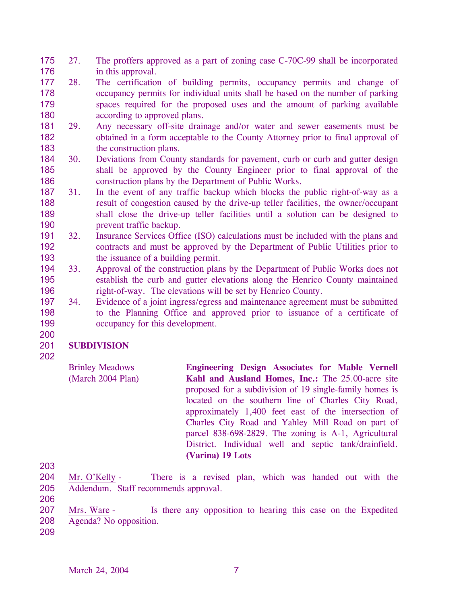- 175 176 27. The proffers approved as a part of zoning case C-70C-99 shall be incorporated in this approval.
- 177 178 179 180 28. The certification of building permits, occupancy permits and change of occupancy permits for individual units shall be based on the number of parking spaces required for the proposed uses and the amount of parking available according to approved plans.
- 181 182 183 29. Any necessary off-site drainage and/or water and sewer easements must be obtained in a form acceptable to the County Attorney prior to final approval of the construction plans.
- 184 185 186 30. Deviations from County standards for pavement, curb or curb and gutter design shall be approved by the County Engineer prior to final approval of the construction plans by the Department of Public Works.
- 187 188 189 190 31. In the event of any traffic backup which blocks the public right-of-way as a result of congestion caused by the drive-up teller facilities, the owner/occupant shall close the drive-up teller facilities until a solution can be designed to prevent traffic backup.
- 191 192 193 32. Insurance Services Office (ISO) calculations must be included with the plans and contracts and must be approved by the Department of Public Utilities prior to the issuance of a building permit.
- 194 195 196 33. Approval of the construction plans by the Department of Public Works does not establish the curb and gutter elevations along the Henrico County maintained right-of-way. The elevations will be set by Henrico County.
- 197 198 199 34. Evidence of a joint ingress/egress and maintenance agreement must be submitted to the Planning Office and approved prior to issuance of a certificate of occupancy for this development.

#### 201 **SUBDIVISION**

202

200

Brinley Meadows (March 2004 Plan) **Engineering Design Associates for Mable Vernell Kahl and Ausland Homes, Inc.:** The 25.00-acre site proposed for a subdivision of 19 single-family homes is located on the southern line of Charles City Road, approximately 1,400 feet east of the intersection of Charles City Road and Yahley Mill Road on part of parcel 838-698-2829. The zoning is A-1, Agricultural District. Individual well and septic tank/drainfield. **(Varina) 19 Lots** 

- 204 205 206 Mr. O'Kelly - There is a revised plan, which was handed out with the Addendum. Staff recommends approval.
- 207 208 Mrs. Ware - Is there any opposition to hearing this case on the Expedited Agenda? No opposition.
- 209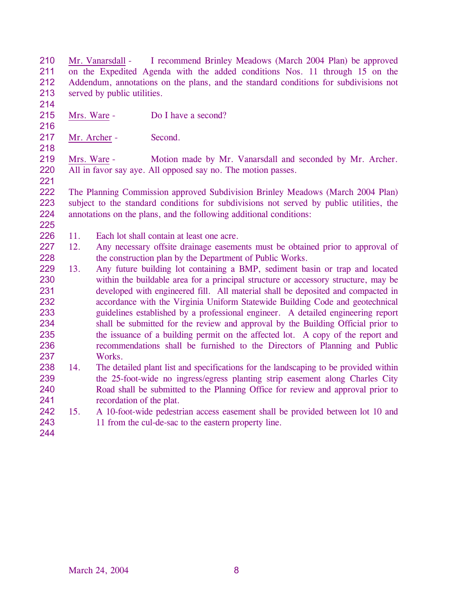210 211 212 213 Mr. Vanarsdall - I recommend Brinley Meadows (March 2004 Plan) be approved on the Expedited Agenda with the added conditions Nos. 11 through 15 on the Addendum, annotations on the plans, and the standard conditions for subdivisions not served by public utilities.

214

215 Mrs. Ware - Do I have a second?

216 217

218

221

Mr. Archer - Second.

219 220 Mrs. Ware - Motion made by Mr. Vanarsdall and seconded by Mr. Archer. All in favor say aye. All opposed say no. The motion passes.

222 223 224 225 The Planning Commission approved Subdivision Brinley Meadows (March 2004 Plan) subject to the standard conditions for subdivisions not served by public utilities, the annotations on the plans, and the following additional conditions:

- 226 11. Each lot shall contain at least one acre.
- 227 228 12. Any necessary offsite drainage easements must be obtained prior to approval of the construction plan by the Department of Public Works.
- 229 230 231 232 233 234 235 236 237 13. Any future building lot containing a BMP, sediment basin or trap and located within the buildable area for a principal structure or accessory structure, may be developed with engineered fill. All material shall be deposited and compacted in accordance with the Virginia Uniform Statewide Building Code and geotechnical guidelines established by a professional engineer. A detailed engineering report shall be submitted for the review and approval by the Building Official prior to the issuance of a building permit on the affected lot. A copy of the report and recommendations shall be furnished to the Directors of Planning and Public Works.
- 238 239 240 241 14. The detailed plant list and specifications for the landscaping to be provided within the 25-foot-wide no ingress/egress planting strip easement along Charles City Road shall be submitted to the Planning Office for review and approval prior to recordation of the plat.
- 242 243 15. A 10-foot-wide pedestrian access easement shall be provided between lot 10 and 11 from the cul-de-sac to the eastern property line.
- 244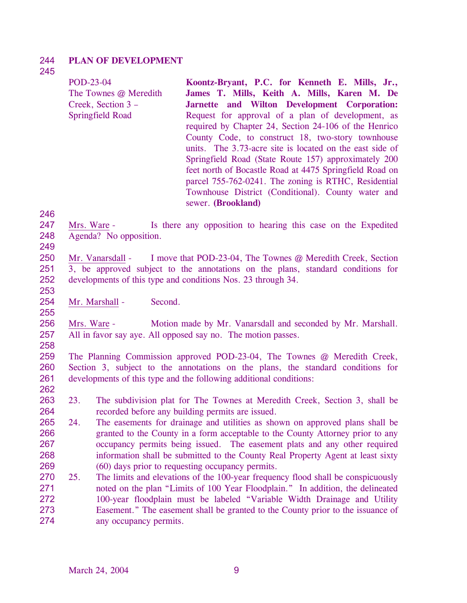#### 244 **PLAN OF DEVELOPMENT**

# 245

| POD-23-04               | Koontz-Bryant, P.C. for Kenneth E. Mills, Jr.,           |
|-------------------------|----------------------------------------------------------|
| The Townes @ Meredith   | James T. Mills, Keith A. Mills, Karen M. De              |
| Creek, Section 3 –      | Jarnette and Wilton Development Corporation:             |
| <b>Springfield Road</b> | Request for approval of a plan of development, as        |
|                         | required by Chapter 24, Section 24-106 of the Henrico    |
|                         | County Code, to construct 18, two-story townhouse        |
|                         | units. The 3.73-acre site is located on the east side of |
|                         | Springfield Road (State Route 157) approximately 200     |
|                         | feet north of Bocastle Road at 4475 Springfield Road on  |
|                         | parcel 755-762-0241. The zoning is RTHC, Residential     |
|                         | Townhouse District (Conditional). County water and       |
|                         | sewer. (Brookland)                                       |

246

247 248 Mrs. Ware - Is there any opposition to hearing this case on the Expedited Agenda? No opposition.

249

253

255

- 250 251 252 Mr. Vanarsdall - I move that POD-23-04, The Townes @ Meredith Creek, Section 3, be approved subject to the annotations on the plans, standard conditions for developments of this type and conditions Nos. 23 through 34.
- 254 Mr. Marshall - Second.

256 257 Mrs. Ware - Motion made by Mr. Vanarsdall and seconded by Mr. Marshall. All in favor say aye. All opposed say no. The motion passes.

258

259 260 261 The Planning Commission approved POD-23-04, The Townes @ Meredith Creek, Section 3, subject to the annotations on the plans, the standard conditions for developments of this type and the following additional conditions:

262

263 264 23. The subdivision plat for The Townes at Meredith Creek, Section 3, shall be recorded before any building permits are issued.

- 265 266 267 268 269 24. The easements for drainage and utilities as shown on approved plans shall be granted to the County in a form acceptable to the County Attorney prior to any occupancy permits being issued. The easement plats and any other required information shall be submitted to the County Real Property Agent at least sixty (60) days prior to requesting occupancy permits.
- 270 271 272 273 274 25. The limits and elevations of the 100-year frequency flood shall be conspicuously noted on the plan "Limits of 100 Year Floodplain." In addition, the delineated 100-year floodplain must be labeled "Variable Width Drainage and Utility Easement." The easement shall be granted to the County prior to the issuance of any occupancy permits.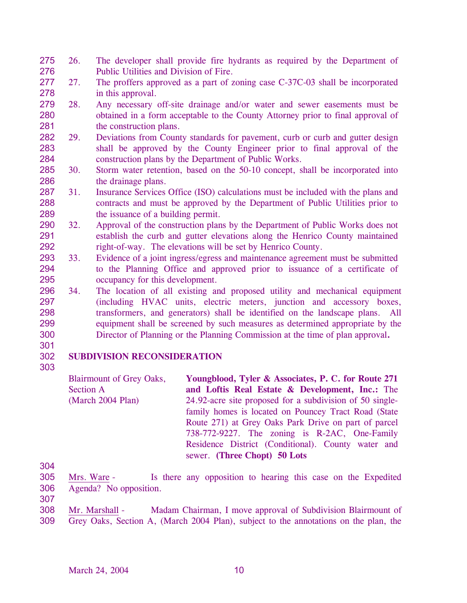- 275 276 26. The developer shall provide fire hydrants as required by the Department of Public Utilities and Division of Fire.
- 277 278 27. The proffers approved as a part of zoning case C-37C-03 shall be incorporated in this approval.
- 279 280 281 28. Any necessary off-site drainage and/or water and sewer easements must be obtained in a form acceptable to the County Attorney prior to final approval of the construction plans.
- 282 283 284 29. Deviations from County standards for pavement, curb or curb and gutter design shall be approved by the County Engineer prior to final approval of the construction plans by the Department of Public Works.
- 285 286 30. Storm water retention, based on the 50-10 concept, shall be incorporated into the drainage plans.
- 287 288 289 31. Insurance Services Office (ISO) calculations must be included with the plans and contracts and must be approved by the Department of Public Utilities prior to the issuance of a building permit.
- 290 291 292 32. Approval of the construction plans by the Department of Public Works does not establish the curb and gutter elevations along the Henrico County maintained right-of-way. The elevations will be set by Henrico County.
- 293 294 295 33. Evidence of a joint ingress/egress and maintenance agreement must be submitted to the Planning Office and approved prior to issuance of a certificate of occupancy for this development.
- 296 297 298 299 300 34. The location of all existing and proposed utility and mechanical equipment (including HVAC units, electric meters, junction and accessory boxes, transformers, and generators) shall be identified on the landscape plans. All equipment shall be screened by such measures as determined appropriate by the Director of Planning or the Planning Commission at the time of plan approval**.**
- 301

303

## 302 **SUBDIVISION RECONSIDERATION**

Blairmount of Grey Oaks, Section A (March 2004 Plan) **Youngblood, Tyler & Associates, P. C. for Route 271 and Loftis Real Estate & Development, Inc.:** The 24.92-acre site proposed for a subdivision of 50 singlefamily homes is located on Pouncey Tract Road (State Route 271) at Grey Oaks Park Drive on part of parcel 738-772-9227. The zoning is R-2AC, One-Family Residence District (Conditional). County water and sewer. **(Three Chopt) 50 Lots** 

304

- 305 306 Mrs. Ware - Is there any opposition to hearing this case on the Expedited Agenda? No opposition.
- Mr. Marshall Madam Chairman, I move approval of Subdivision Blairmount of Grey Oaks, Section A, (March 2004 Plan), subject to the annotations on the plan, the 308 309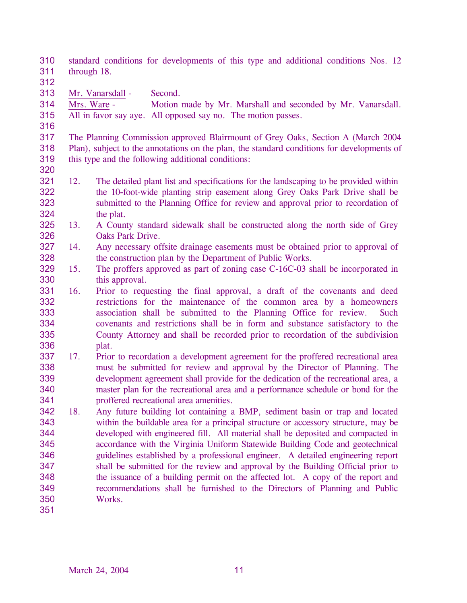310 311 standard conditions for developments of this type and additional conditions Nos. 12 through 18.

- 312
- 313 Mr. Vanarsdall Second.

314 315 Mrs. Ware - Motion made by Mr. Marshall and seconded by Mr. Vanarsdall. All in favor say aye. All opposed say no. The motion passes.

316

317 318 319 The Planning Commission approved Blairmount of Grey Oaks, Section A (March 2004 Plan), subject to the annotations on the plan, the standard conditions for developments of this type and the following additional conditions:

- 320
- 321 322 323 324 12. The detailed plant list and specifications for the landscaping to be provided within the 10**-**foot-wide planting strip easement along Grey Oaks Park Drive shall be submitted to the Planning Office for review and approval prior to recordation of the plat.
- 325 326 13. A County standard sidewalk shall be constructed along the north side of Grey Oaks Park Drive.
- 327 328 14. Any necessary offsite drainage easements must be obtained prior to approval of the construction plan by the Department of Public Works.
- 329 330 15. The proffers approved as part of zoning case C-16C-03 shall be incorporated in this approval.
- 331 332 333 334 335 336 16. Prior to requesting the final approval, a draft of the covenants and deed restrictions for the maintenance of the common area by a homeowners association shall be submitted to the Planning Office for review. Such covenants and restrictions shall be in form and substance satisfactory to the County Attorney and shall be recorded prior to recordation of the subdivision plat.
- 337 338 339 340 341 17. Prior to recordation a development agreement for the proffered recreational area must be submitted for review and approval by the Director of Planning. The development agreement shall provide for the dedication of the recreational area, a master plan for the recreational area and a performance schedule or bond for the proffered recreational area amenities.
- 342 343 344 345 346 347 348 349 350 351 18. Any future building lot containing a BMP, sediment basin or trap and located within the buildable area for a principal structure or accessory structure, may be developed with engineered fill. All material shall be deposited and compacted in accordance with the Virginia Uniform Statewide Building Code and geotechnical guidelines established by a professional engineer. A detailed engineering report shall be submitted for the review and approval by the Building Official prior to the issuance of a building permit on the affected lot. A copy of the report and recommendations shall be furnished to the Directors of Planning and Public Works.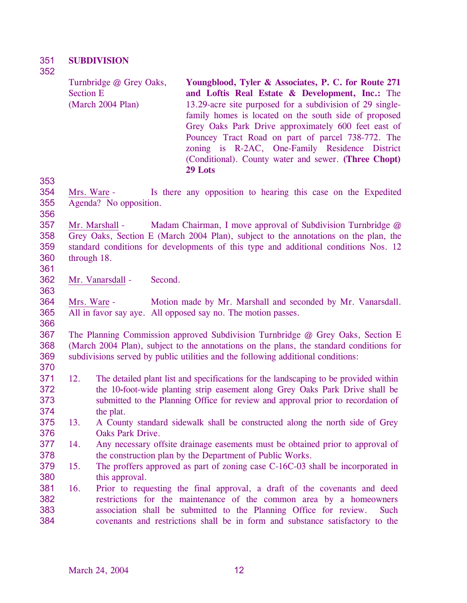#### 351 **SUBDIVISION**

352

| Turnbridge @ Grey Oaks, | Youngblood, Tyler & Associates, P. C. for Route 271      |
|-------------------------|----------------------------------------------------------|
| <b>Section E</b>        | and Loftis Real Estate & Development, Inc.: The          |
| (March 2004 Plan)       | 13.29-acre site purposed for a subdivision of 29 single- |
|                         | family homes is located on the south side of proposed    |
|                         | Grey Oaks Park Drive approximately 600 feet east of      |
|                         | Pouncey Tract Road on part of parcel 738-772. The        |
|                         | zoning is R-2AC, One-Family Residence District           |
|                         | (Conditional). County water and sewer. (Three Chopt)     |
|                         | 29 Lots                                                  |

353

354 355 Mrs. Ware - Is there any opposition to hearing this case on the Expedited Agenda? No opposition.

356

357 358 359 360 Mr. Marshall - Madam Chairman, I move approval of Subdivision Turnbridge  $\omega$ Grey Oaks, Section E (March 2004 Plan), subject to the annotations on the plan, the standard conditions for developments of this type and additional conditions Nos. 12 through 18.

361

363

366

362 Mr. Vanarsdall - Second.

364 365 Mrs. Ware - Motion made by Mr. Marshall and seconded by Mr. Vanarsdall. All in favor say aye. All opposed say no. The motion passes.

367 368 369 The Planning Commission approved Subdivision Turnbridge @ Grey Oaks, Section E (March 2004 Plan), subject to the annotations on the plans, the standard conditions for subdivisions served by public utilities and the following additional conditions:

- 370
- 371 372 373 374 12. The detailed plant list and specifications for the landscaping to be provided within the 10**-**foot-wide planting strip easement along Grey Oaks Park Drive shall be submitted to the Planning Office for review and approval prior to recordation of the plat.
- 375 376 13. A County standard sidewalk shall be constructed along the north side of Grey Oaks Park Drive.
- 377 378 14. Any necessary offsite drainage easements must be obtained prior to approval of the construction plan by the Department of Public Works.
- 379 380 15. The proffers approved as part of zoning case C-16C-03 shall be incorporated in this approval.
- 381 382 383 384 16. Prior to requesting the final approval, a draft of the covenants and deed restrictions for the maintenance of the common area by a homeowners association shall be submitted to the Planning Office for review. Such covenants and restrictions shall be in form and substance satisfactory to the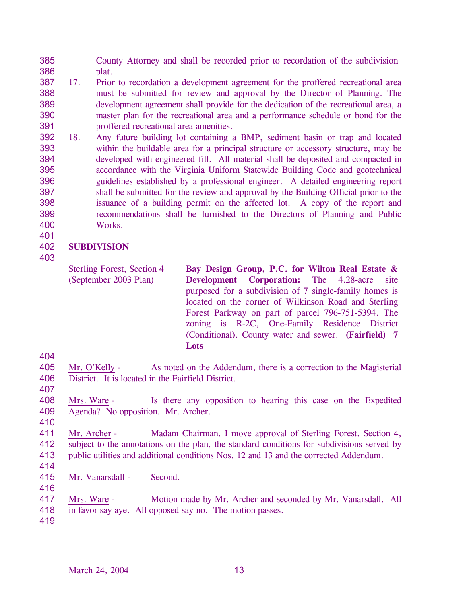385 386 County Attorney and shall be recorded prior to recordation of the subdivision plat.

- 387 388 389 390 391 17. Prior to recordation a development agreement for the proffered recreational area must be submitted for review and approval by the Director of Planning. The development agreement shall provide for the dedication of the recreational area, a master plan for the recreational area and a performance schedule or bond for the proffered recreational area amenities.
- 392 393 394 395 396 397 398 399 400 18. Any future building lot containing a BMP, sediment basin or trap and located within the buildable area for a principal structure or accessory structure, may be developed with engineered fill. All material shall be deposited and compacted in accordance with the Virginia Uniform Statewide Building Code and geotechnical guidelines established by a professional engineer. A detailed engineering report shall be submitted for the review and approval by the Building Official prior to the issuance of a building permit on the affected lot. A copy of the report and recommendations shall be furnished to the Directors of Planning and Public Works.

#### 402 **SUBDIVISION**

403

401

Sterling Forest, Section 4 (September 2003 Plan) **Bay Design Group, P.C. for Wilton Real Estate & Development Corporation:** The 4.28-acre site purposed for a subdivision of 7 single-family homes is located on the corner of Wilkinson Road and Sterling Forest Parkway on part of parcel 796-751-5394. The zoning is R-2C, One-Family Residence District (Conditional). County water and sewer. **(Fairfield) 7 Lots** 

404

- 405 406 Mr. O'Kelly - As noted on the Addendum, there is a correction to the Magisterial District. It is located in the Fairfield District.
- 407
- 408 409 410 Mrs. Ware - Is there any opposition to hearing this case on the Expedited Agenda? No opposition. Mr. Archer.
- 411 412 413 Mr. Archer - Madam Chairman, I move approval of Sterling Forest, Section 4, subject to the annotations on the plan, the standard conditions for subdivisions served by public utilities and additional conditions Nos. 12 and 13 and the corrected Addendum.
- 414

- 415 Mr. Vanarsdall - Second.
- 417 Mrs. Ware - Motion made by Mr. Archer and seconded by Mr. Vanarsdall. All
- 418 in favor say aye. All opposed say no. The motion passes.
- 419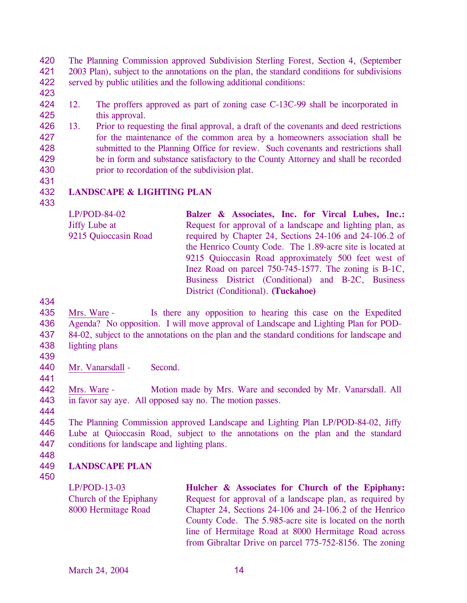420 421 422 The Planning Commission approved Subdivision Sterling Forest, Section 4, (September 2003 Plan), subject to the annotations on the plan, the standard conditions for subdivisions served by public utilities and the following additional conditions:

- 423
- 424 425 12. The proffers approved as part of zoning case C-13C-99 shall be incorporated in this approval.
- 426 427 428 429 430 13. Prior to requesting the final approval, a draft of the covenants and deed restrictions for the maintenance of the common area by a homeowners association shall be submitted to the Planning Office for review. Such covenants and restrictions shall be in form and substance satisfactory to the County Attorney and shall be recorded prior to recordation of the subdivision plat.
- 431
- 432 **LANDSCAPE & LIGHTING PLAN**
- 433

| $LP/POD-84-02$       | Balzer & Associates, Inc. for Vircal Lubes, Inc.:         |
|----------------------|-----------------------------------------------------------|
| <b>Jiffy Lube at</b> | Request for approval of a landscape and lighting plan, as |
| 9215 Quioccasin Road | required by Chapter 24, Sections 24-106 and 24-106.2 of   |
|                      | the Henrico County Code. The 1.89-acre site is located at |
|                      | 9215 Quioccasin Road approximately 500 feet west of       |
|                      | Inez Road on parcel 750-745-1577. The zoning is B-1C,     |
|                      | Business District (Conditional) and B-2C, Business        |
|                      | District (Conditional). (Tuckahoe)                        |

434

435 436 437 438 Mrs. Ware - Is there any opposition to hearing this case on the Expedited Agenda? No opposition. I will move approval of Landscape and Lighting Plan for POD-84-02, subject to the annotations on the plan and the standard conditions for landscape and lighting plans

439

440 Mr. Vanarsdall - Second.

441

442 443 Mrs. Ware - Motion made by Mrs. Ware and seconded by Mr. Vanarsdall. All in favor say aye. All opposed say no. The motion passes.

444

445 446 447 The Planning Commission approved Landscape and Lighting Plan LP/POD-84-02, Jiffy Lube at Quioccasin Road, subject to the annotations on the plan and the standard conditions for landscape and lighting plans.

448

## 449 450 **LANDSCAPE PLAN**

LP/POD-13-03 Church of the Epiphany 8000 Hermitage Road **Hulcher & Associates for Church of the Epiphany:** Request for approval of a landscape plan, as required by Chapter 24, Sections 24-106 and 24-106.2 of the Henrico County Code. The 5.985-acre site is located on the north line of Hermitage Road at 8000 Hermitage Road across from Gibraltar Drive on parcel 775-752-8156. The zoning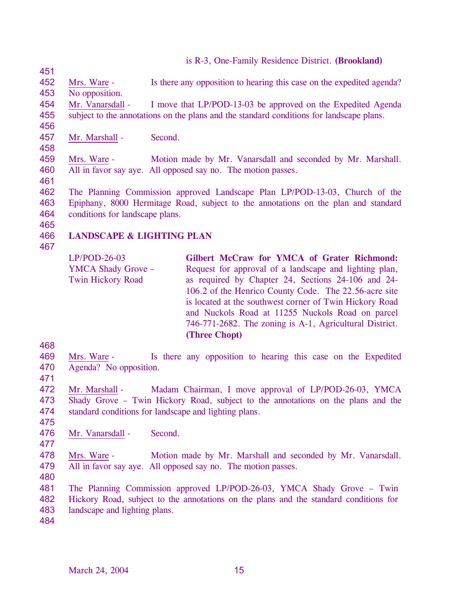is R-3, One-Family Residence District. **(Brookland)** 

- 452 453 Mrs. Ware - Is there any opposition to hearing this case on the expedited agenda? No opposition.
- 
- 454 455 Mr. Vanarsdall - I move that LP/POD-13-03 be approved on the Expedited Agenda subject to the annotations on the plans and the standard conditions for landscape plans.
- 456 457

458

451

Mr. Marshall - Second.

459 460 Mrs. Ware - Motion made by Mr. Vanarsdall and seconded by Mr. Marshall. All in favor say aye. All opposed say no. The motion passes.

461

462 463 464 The Planning Commission approved Landscape Plan LP/POD-13-03, Church of the Epiphany, 8000 Hermitage Road, subject to the annotations on the plan and standard conditions for landscape plans.

- 466 **LANDSCAPE & LIGHTING PLAN**
- 467

465

LP/POD-26-03 YMCA Shady Grove – Twin Hickory Road **Gilbert McCraw for YMCA of Grater Richmond:**  Request for approval of a landscape and lighting plan, as required by Chapter 24, Sections 24-106 and 24- 106.2 of the Henrico County Code. The 22.56-acre site is located at the southwest corner of Twin Hickory Road and Nuckols Road at 11255 Nuckols Road on parcel 746-771-2682. The zoning is A-1, Agricultural District. **(Three Chopt)** 

469 470 Mrs. Ware - Is there any opposition to hearing this case on the Expedited Agenda? No opposition.

471

468

472 473 474 475 Mr. Marshall - Madam Chairman, I move approval of LP/POD-26-03, YMCA Shady Grove – Twin Hickory Road, subject to the annotations on the plans and the standard conditions for landscape and lighting plans.

- 476 Mr. Vanarsdall - Second.
- 477

478 479 Mrs. Ware - Motion made by Mr. Marshall and seconded by Mr. Vanarsdall. All in favor say aye. All opposed say no. The motion passes.

480

481 482 483 The Planning Commission approved LP/POD-26-03, YMCA Shady Grove – Twin Hickory Road, subject to the annotations on the plans and the standard conditions for landscape and lighting plans.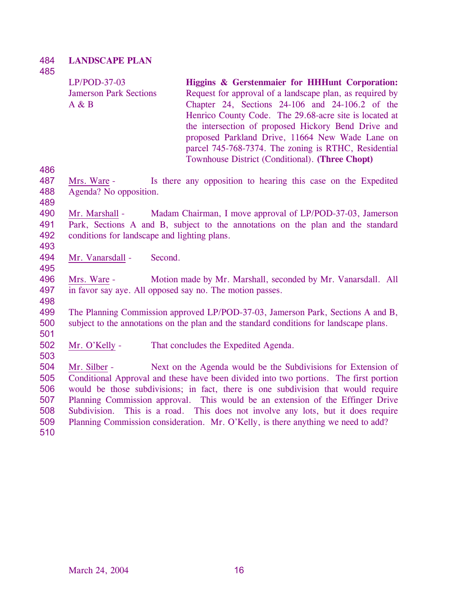# 484 485 **LANDSCAPE PLAN**

|     | $LP/POD-37-03$<br><b>Jamerson Park Sections</b><br>A & B |         | Higgins & Gerstenmaier for HHHunt Corporation:<br>Request for approval of a landscape plan, as required by<br>Chapter 24, Sections 24-106 and 24-106.2 of the<br>Henrico County Code. The 29.68-acre site is located at<br>the intersection of proposed Hickory Bend Drive and<br>proposed Parkland Drive, 11664 New Wade Lane on<br>parcel 745-768-7374. The zoning is RTHC, Residential<br>Townhouse District (Conditional). (Three Chopt) |
|-----|----------------------------------------------------------|---------|----------------------------------------------------------------------------------------------------------------------------------------------------------------------------------------------------------------------------------------------------------------------------------------------------------------------------------------------------------------------------------------------------------------------------------------------|
| 486 |                                                          |         |                                                                                                                                                                                                                                                                                                                                                                                                                                              |
| 487 | Mrs. Ware -                                              |         | Is there any opposition to hearing this case on the Expedited                                                                                                                                                                                                                                                                                                                                                                                |
| 488 | Agenda? No opposition.                                   |         |                                                                                                                                                                                                                                                                                                                                                                                                                                              |
| 489 |                                                          |         |                                                                                                                                                                                                                                                                                                                                                                                                                                              |
| 490 | Mr. Marshall -                                           |         | Madam Chairman, I move approval of LP/POD-37-03, Jamerson                                                                                                                                                                                                                                                                                                                                                                                    |
| 491 |                                                          |         | Park, Sections A and B, subject to the annotations on the plan and the standard                                                                                                                                                                                                                                                                                                                                                              |
| 492 | conditions for landscape and lighting plans.             |         |                                                                                                                                                                                                                                                                                                                                                                                                                                              |
| 493 |                                                          |         |                                                                                                                                                                                                                                                                                                                                                                                                                                              |
| 494 | Mr. Vanarsdall -                                         | Second. |                                                                                                                                                                                                                                                                                                                                                                                                                                              |
| 495 |                                                          |         |                                                                                                                                                                                                                                                                                                                                                                                                                                              |
| 496 | Mrs. Ware -                                              |         | Motion made by Mr. Marshall, seconded by Mr. Vanarsdall. All                                                                                                                                                                                                                                                                                                                                                                                 |
| 497 |                                                          |         | in favor say aye. All opposed say no. The motion passes.                                                                                                                                                                                                                                                                                                                                                                                     |
| 498 |                                                          |         |                                                                                                                                                                                                                                                                                                                                                                                                                                              |
| 499 |                                                          |         | The Planning Commission approved LP/POD-37-03, Jamerson Park, Sections A and B,                                                                                                                                                                                                                                                                                                                                                              |
| 500 |                                                          |         | subject to the annotations on the plan and the standard conditions for landscape plans.                                                                                                                                                                                                                                                                                                                                                      |
| 501 |                                                          |         |                                                                                                                                                                                                                                                                                                                                                                                                                                              |
| 502 | Mr. O'Kelly -                                            |         | That concludes the Expedited Agenda.                                                                                                                                                                                                                                                                                                                                                                                                         |
| 503 |                                                          |         |                                                                                                                                                                                                                                                                                                                                                                                                                                              |
| 504 | Mr. Silber -                                             |         | Next on the Agenda would be the Subdivisions for Extension of                                                                                                                                                                                                                                                                                                                                                                                |
| 505 |                                                          |         | Conditional Approval and these have been divided into two portions. The first portion                                                                                                                                                                                                                                                                                                                                                        |
| 506 |                                                          |         | would be those subdivisions; in fact, there is one subdivision that would require                                                                                                                                                                                                                                                                                                                                                            |
| 507 |                                                          |         | Planning Commission approval. This would be an extension of the Effinger Drive                                                                                                                                                                                                                                                                                                                                                               |
| 508 | Subdivision.                                             |         | This is a road. This does not involve any lots, but it does require                                                                                                                                                                                                                                                                                                                                                                          |
| 509 |                                                          |         | Planning Commission consideration. Mr. O'Kelly, is there anything we need to add?                                                                                                                                                                                                                                                                                                                                                            |
| 510 |                                                          |         |                                                                                                                                                                                                                                                                                                                                                                                                                                              |
|     |                                                          |         |                                                                                                                                                                                                                                                                                                                                                                                                                                              |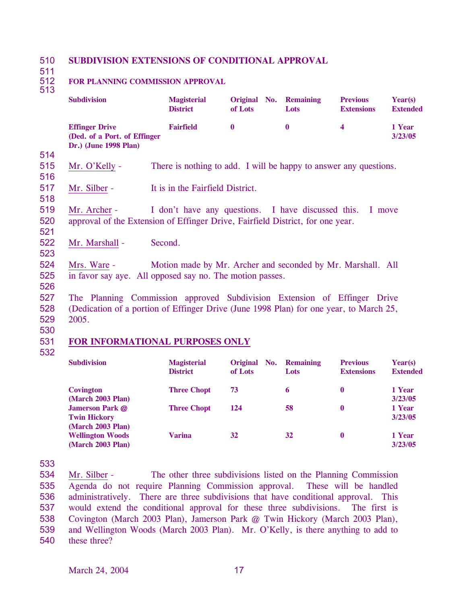#### 510 **SUBDIVISION EXTENSIONS OF CONDITIONAL APPROVAL**

511

# **FOR PLANNING COMMISSION APPROVAL**

| ×<br>۰, |  |
|---------|--|
|         |  |

|     | <b>Subdivision</b>                                                                     | <b>Magisterial</b><br><b>District</b>                             | Original No.<br>of Lots | <b>Remaining</b><br>Lots | <b>Previous</b><br><b>Extensions</b> | Year(s)<br><b>Extended</b> |
|-----|----------------------------------------------------------------------------------------|-------------------------------------------------------------------|-------------------------|--------------------------|--------------------------------------|----------------------------|
|     | <b>Effinger Drive</b><br>(Ded. of a Port. of Effinger                                  | <b>Fairfield</b>                                                  | $\mathbf{0}$            | $\bf{0}$                 | $\overline{\mathbf{4}}$              | 1 Year<br>3/23/05          |
|     | Dr.) (June 1998 Plan)                                                                  |                                                                   |                         |                          |                                      |                            |
| 514 |                                                                                        |                                                                   |                         |                          |                                      |                            |
| 515 | Mr. O'Kelly -                                                                          | There is nothing to add. I will be happy to answer any questions. |                         |                          |                                      |                            |
| 516 |                                                                                        |                                                                   |                         |                          |                                      |                            |
| 517 | Mr. Silber -                                                                           | It is in the Fairfield District.                                  |                         |                          |                                      |                            |
| 518 |                                                                                        |                                                                   |                         |                          |                                      |                            |
| 519 | Mr. Archer -                                                                           | I don't have any questions. I have discussed this.                |                         |                          |                                      | I move                     |
| 520 | approval of the Extension of Effinger Drive, Fairfield District, for one year.         |                                                                   |                         |                          |                                      |                            |
| 521 |                                                                                        |                                                                   |                         |                          |                                      |                            |
| 522 | Mr. Marshall -                                                                         | Second.                                                           |                         |                          |                                      |                            |
| 523 |                                                                                        |                                                                   |                         |                          |                                      |                            |
| 524 | Mrs. Ware -                                                                            | Motion made by Mr. Archer and seconded by Mr. Marshall. All       |                         |                          |                                      |                            |
| 525 | in favor say aye. All opposed say no. The motion passes.                               |                                                                   |                         |                          |                                      |                            |
| 526 |                                                                                        |                                                                   |                         |                          |                                      |                            |
| 527 | The Planning Commission approved Subdivision Extension of Effinger Drive               |                                                                   |                         |                          |                                      |                            |
| 528 | (Dedication of a portion of Effinger Drive (June 1998 Plan) for one year, to March 25, |                                                                   |                         |                          |                                      |                            |
| 529 | 2005.                                                                                  |                                                                   |                         |                          |                                      |                            |
| 530 |                                                                                        |                                                                   |                         |                          |                                      |                            |
| 531 | FOR INFORMATIONAL PURPOSES ONLY                                                        |                                                                   |                         |                          |                                      |                            |
| 532 |                                                                                        |                                                                   |                         |                          |                                      |                            |

| <b>Subdivision</b>      | <b>Magisterial</b><br><b>District</b> | Original No.<br>of Lots | <b>Remaining</b><br>Lots | <b>Previous</b><br><b>Extensions</b> | Year(s)<br><b>Extended</b> |
|-------------------------|---------------------------------------|-------------------------|--------------------------|--------------------------------------|----------------------------|
| Covington               | <b>Three Chopt</b>                    | 73                      | 6                        | $\bf{0}$                             | 1 Year                     |
| (March 2003 Plan)       |                                       |                         |                          |                                      | 3/23/05                    |
| <b>Jamerson Park @</b>  | <b>Three Chopt</b>                    | 124                     | 58                       | $\bf{0}$                             | 1 Year                     |
| <b>Twin Hickory</b>     |                                       |                         |                          |                                      | 3/23/05                    |
| (March 2003 Plan)       |                                       |                         |                          |                                      |                            |
| <b>Wellington Woods</b> | <b>Varina</b>                         | 32                      | 32                       | $\bf{0}$                             | 1 Year                     |
| (March 2003 Plan)       |                                       |                         |                          |                                      | 3/23/05                    |

533

Mr. Silber - The other three subdivisions listed on the Planning Commission Agenda do not require Planning Commission approval. These will be handled administratively. There are three subdivisions that have conditional approval. This would extend the conditional approval for these three subdivisions. The first is Covington (March 2003 Plan), Jamerson Park @ Twin Hickory (March 2003 Plan), and Wellington Woods (March 2003 Plan). Mr. O'Kelly, is there anything to add to these three? 534 535 536 537 538 539 540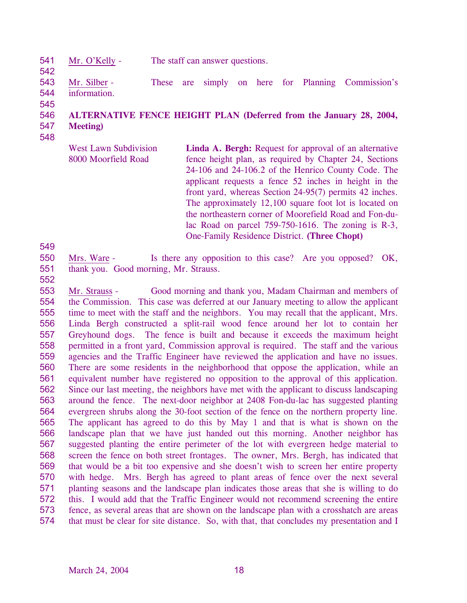- 541 Mr. O'Kelly - The staff can answer questions.
- 543 544 Mr. Silber - These are simply on here for Planning Commission's information.
- 545

542

# 546 **ALTERNATIVE FENCE HEIGHT PLAN (Deferred from the January 28, 2004,**

547 548 **Meeting)** 

> West Lawn Subdivision 8000 Moorfield Road Linda A. Bergh: Request for approval of an alternative fence height plan, as required by Chapter 24, Sections 24-106 and 24-106.2 of the Henrico County Code. The applicant requests a fence 52 inches in height in the front yard, whereas Section 24-95(7) permits 42 inches. The approximately 12,100 square foot lot is located on the northeastern corner of Moorefield Road and Fon-dulac Road on parcel 759-750-1616. The zoning is R-3, One-Family Residence District. **(Three Chopt)**

550 551 Mrs. Ware - Is there any opposition to this case? Are you opposed? OK, thank you. Good morning, Mr. Strauss.

552

549

Mr. Strauss - Good morning and thank you, Madam Chairman and members of the Commission. This case was deferred at our January meeting to allow the applicant time to meet with the staff and the neighbors. You may recall that the applicant, Mrs. Linda Bergh constructed a split-rail wood fence around her lot to contain her Greyhound dogs. The fence is built and because it exceeds the maximum height permitted in a front yard, Commission approval is required. The staff and the various agencies and the Traffic Engineer have reviewed the application and have no issues. There are some residents in the neighborhood that oppose the application, while an equivalent number have registered no opposition to the approval of this application. Since our last meeting, the neighbors have met with the applicant to discuss landscaping around the fence. The next-door neighbor at 2408 Fon-du-lac has suggested planting evergreen shrubs along the 30-foot section of the fence on the northern property line. The applicant has agreed to do this by May 1 and that is what is shown on the landscape plan that we have just handed out this morning. Another neighbor has suggested planting the entire perimeter of the lot with evergreen hedge material to screen the fence on both street frontages. The owner, Mrs. Bergh, has indicated that that would be a bit too expensive and she doesn't wish to screen her entire property with hedge. Mrs. Bergh has agreed to plant areas of fence over the next several planting seasons and the landscape plan indicates those areas that she is willing to do this. I would add that the Traffic Engineer would not recommend screening the entire fence, as several areas that are shown on the landscape plan with a crosshatch are areas that must be clear for site distance. So, with that, that concludes my presentation and I 553 554 555 556 557 558 559 560 561 562 563 564 565 566 567 568 569 570 571 572 573 574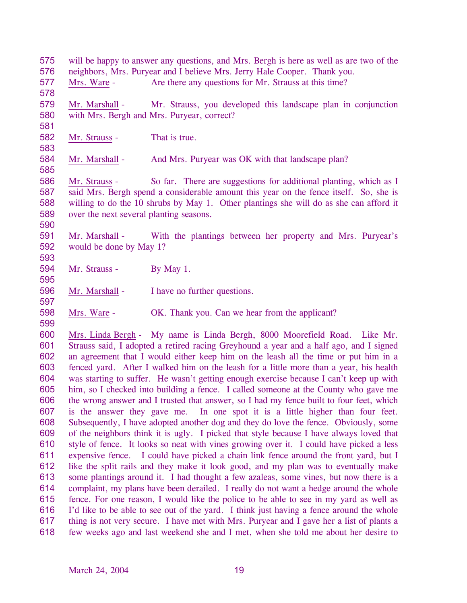576 neighbors, Mrs. Puryear and I believe Mrs. Jerry Hale Cooper. Thank you. 577 578 Mrs. Ware - Are there any questions for Mr. Strauss at this time? 579 580 581 Mr. Marshall - Mr. Strauss, you developed this landscape plan in conjunction with Mrs. Bergh and Mrs. Puryear, correct? 582 583 Mr. Strauss - That is true. 584 585 Mr. Marshall - And Mrs. Puryear was OK with that landscape plan? 586 587 588 589 590 Mr. Strauss - So far. There are suggestions for additional planting, which as I said Mrs. Bergh spend a considerable amount this year on the fence itself. So, she is willing to do the 10 shrubs by May 1. Other plantings she will do as she can afford it over the next several planting seasons. 591 592 593 Mr. Marshall - With the plantings between her property and Mrs. Puryear's would be done by May 1? 594 595 Mr. Strauss - By May 1. 596 597 Mr. Marshall - I have no further questions. 598 599 Mrs. Ware - OK. Thank you. Can we hear from the applicant? Mrs. Linda Bergh - My name is Linda Bergh, 8000 Moorefield Road. Like Mr. Strauss said, I adopted a retired racing Greyhound a year and a half ago, and I signed an agreement that I would either keep him on the leash all the time or put him in a fenced yard. After I walked him on the leash for a little more than a year, his health was starting to suffer. He wasn't getting enough exercise because I can't keep up with him, so I checked into building a fence. I called someone at the County who gave me the wrong answer and I trusted that answer, so I had my fence built to four feet, which is the answer they gave me. In one spot it is a little higher than four feet. Subsequently, I have adopted another dog and they do love the fence. Obviously, some of the neighbors think it is ugly. I picked that style because I have always loved that style of fence. It looks so neat with vines growing over it. I could have picked a less expensive fence. I could have picked a chain link fence around the front yard, but I like the split rails and they make it look good, and my plan was to eventually make some plantings around it. I had thought a few azaleas, some vines, but now there is a complaint, my plans have been derailed. I really do not want a hedge around the whole fence. For one reason, I would like the police to be able to see in my yard as well as I'd like to be able to see out of the yard. I think just having a fence around the whole thing is not very secure. I have met with Mrs. Puryear and I gave her a list of plants a few weeks ago and last weekend she and I met, when she told me about her desire to 600 601 602 603 604 605 606 607 608 609 610 611 612 613 614 615 616 617 618

will be happy to answer any questions, and Mrs. Bergh is here as well as are two of the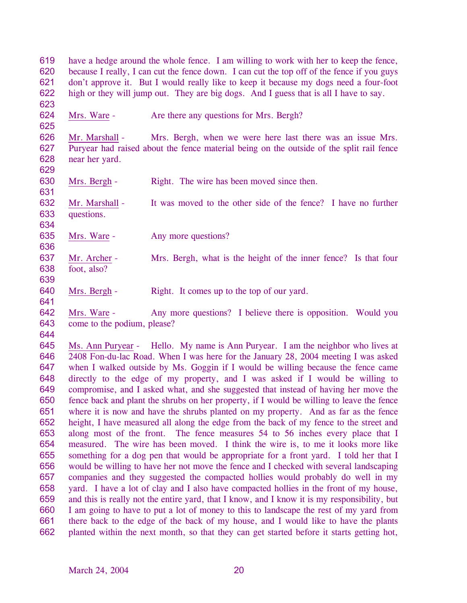619 620 621 622 have a hedge around the whole fence. I am willing to work with her to keep the fence, because I really, I can cut the fence down. I can cut the top off of the fence if you guys don't approve it. But I would really like to keep it because my dogs need a four-foot high or they will jump out. They are big dogs. And I guess that is all I have to say.

624 Mrs. Ware - Are there any questions for Mrs. Bergh?

626 627 628 Mr. Marshall - Mrs. Bergh, when we were here last there was an issue Mrs. Puryear had raised about the fence material being on the outside of the split rail fence near her yard.

630 631 Mrs. Bergh - Right. The wire has been moved since then.

632 633 Mr. Marshall - It was moved to the other side of the fence? I have no further questions.

635 Mrs. Ware - Any more questions?

637 638 639 Mr. Archer - Mrs. Bergh, what is the height of the inner fence? Is that four foot, also?

640 Mrs. Bergh - Right. It comes up to the top of our yard.

642 643 Mrs. Ware - Any more questions? I believe there is opposition. Would you come to the podium, please?

644

641

623

625

629

634

636

Ms. Ann Puryear - Hello. My name is Ann Puryear. I am the neighbor who lives at 2408 Fon-du-lac Road. When I was here for the January 28, 2004 meeting I was asked when I walked outside by Ms. Goggin if I would be willing because the fence came directly to the edge of my property, and I was asked if I would be willing to compromise, and I asked what, and she suggested that instead of having her move the fence back and plant the shrubs on her property, if I would be willing to leave the fence where it is now and have the shrubs planted on my property. And as far as the fence height, I have measured all along the edge from the back of my fence to the street and along most of the front. The fence measures 54 to 56 inches every place that I measured. The wire has been moved. I think the wire is, to me it looks more like something for a dog pen that would be appropriate for a front yard. I told her that I would be willing to have her not move the fence and I checked with several landscaping companies and they suggested the compacted hollies would probably do well in my yard. I have a lot of clay and I also have compacted hollies in the front of my house, and this is really not the entire yard, that I know, and I know it is my responsibility, but I am going to have to put a lot of money to this to landscape the rest of my yard from there back to the edge of the back of my house, and I would like to have the plants planted within the next month, so that they can get started before it starts getting hot, 645 646 647 648 649 650 651 652 653 654 655 656 657 658 659 660 661 662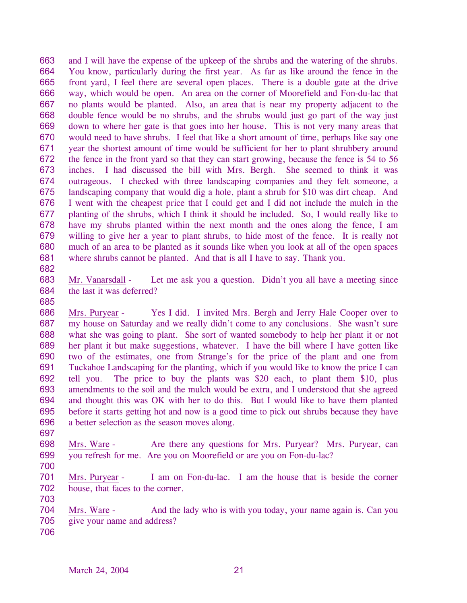663 664 665 666 667 668 669 670 671 672 673 674 675 676 677 678 679 680 681 and I will have the expense of the upkeep of the shrubs and the watering of the shrubs. You know, particularly during the first year. As far as like around the fence in the front yard, I feel there are several open places. There is a double gate at the drive way, which would be open. An area on the corner of Moorefield and Fon-du-lac that no plants would be planted. Also, an area that is near my property adjacent to the double fence would be no shrubs, and the shrubs would just go part of the way just down to where her gate is that goes into her house. This is not very many areas that would need to have shrubs. I feel that like a short amount of time, perhaps like say one year the shortest amount of time would be sufficient for her to plant shrubbery around the fence in the front yard so that they can start growing, because the fence is 54 to 56 inches. I had discussed the bill with Mrs. Bergh. She seemed to think it was outrageous. I checked with three landscaping companies and they felt someone, a landscaping company that would dig a hole, plant a shrub for \$10 was dirt cheap. And I went with the cheapest price that I could get and I did not include the mulch in the planting of the shrubs, which I think it should be included. So, I would really like to have my shrubs planted within the next month and the ones along the fence, I am willing to give her a year to plant shrubs, to hide most of the fence. It is really not much of an area to be planted as it sounds like when you look at all of the open spaces where shrubs cannot be planted. And that is all I have to say. Thank you.

682

683 684 Mr. Vanarsdall - Let me ask you a question. Didn't you all have a meeting since the last it was deferred?

685

686 687 688 689 690 691 692 693 694 695 696 Mrs. Puryear - Yes I did. I invited Mrs. Bergh and Jerry Hale Cooper over to my house on Saturday and we really didn't come to any conclusions. She wasn't sure what she was going to plant. She sort of wanted somebody to help her plant it or not her plant it but make suggestions, whatever. I have the bill where I have gotten like two of the estimates, one from Strange's for the price of the plant and one from Tuckahoe Landscaping for the planting, which if you would like to know the price I can tell you. The price to buy the plants was \$20 each, to plant them \$10, plus amendments to the soil and the mulch would be extra, and I understood that she agreed and thought this was OK with her to do this. But I would like to have them planted before it starts getting hot and now is a good time to pick out shrubs because they have a better selection as the season moves along.

697

698 699 Mrs. Ware - Are there any questions for Mrs. Puryear? Mrs. Puryear, can you refresh for me. Are you on Moorefield or are you on Fon-du-lac?

700

701 702 703 Mrs. Puryear - I am on Fon-du-lac. I am the house that is beside the corner house, that faces to the corner.

704 705 Mrs. Ware - And the lady who is with you today, your name again is. Can you give your name and address?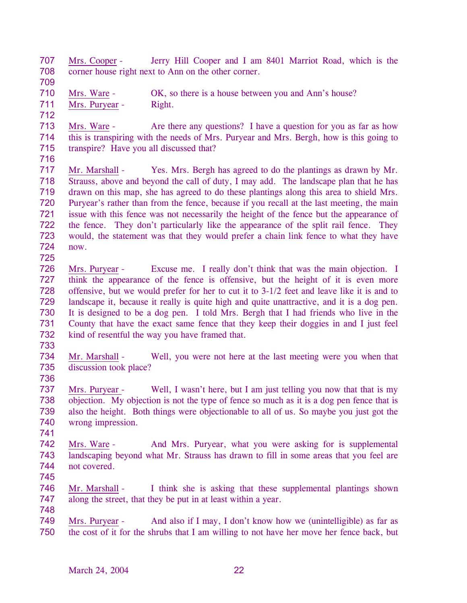707 708 709 Mrs. Cooper - Jerry Hill Cooper and I am 8401 Marriot Road, which is the corner house right next to Ann on the other corner.

710 Mrs. Ware - OK, so there is a house between you and Ann's house? 711 Mrs. Puryear - Right.

713 714 715 Mrs. Ware - Are there any questions? I have a question for you as far as how this is transpiring with the needs of Mrs. Puryear and Mrs. Bergh, how is this going to transpire? Have you all discussed that?

716

712

717 718 719 720 721 722 723 724 725 Mr. Marshall - Yes. Mrs. Bergh has agreed to do the plantings as drawn by Mr. Strauss, above and beyond the call of duty, I may add. The landscape plan that he has drawn on this map, she has agreed to do these plantings along this area to shield Mrs. Puryear's rather than from the fence, because if you recall at the last meeting, the main issue with this fence was not necessarily the height of the fence but the appearance of the fence. They don't particularly like the appearance of the split rail fence. They would, the statement was that they would prefer a chain link fence to what they have now.

- 726 727 728 729 730 731 732 Mrs. Puryear - Excuse me. I really don't think that was the main objection. I think the appearance of the fence is offensive, but the height of it is even more offensive, but we would prefer for her to cut it to 3-1/2 feet and leave like it is and to landscape it, because it really is quite high and quite unattractive, and it is a dog pen. It is designed to be a dog pen. I told Mrs. Bergh that I had friends who live in the County that have the exact same fence that they keep their doggies in and I just feel kind of resentful the way you have framed that.
- 733
- 734 735 Mr. Marshall - Well, you were not here at the last meeting were you when that discussion took place?
- 736

737 738 739 740 Mrs. Puryear - Well, I wasn't here, but I am just telling you now that that is my objection. My objection is not the type of fence so much as it is a dog pen fence that is also the height. Both things were objectionable to all of us. So maybe you just got the wrong impression.

- 741
- 742 743 744 Mrs. Ware - And Mrs. Puryear, what you were asking for is supplemental landscaping beyond what Mr. Strauss has drawn to fill in some areas that you feel are not covered.
- 745
- 746 747 Mr. Marshall - I think she is asking that these supplemental plantings shown along the street, that they be put in at least within a year.
- 748
- Mrs. Puryear And also if I may, I don't know how we (unintelligible) as far as the cost of it for the shrubs that I am willing to not have her move her fence back, but 749 750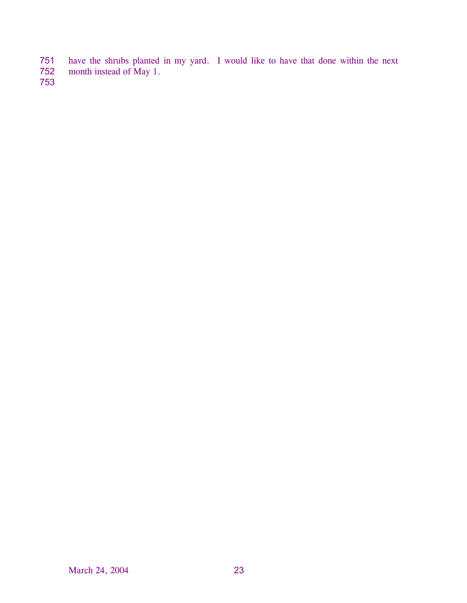- have the shrubs planted in my yard. I would like to have that done within the next 751
- month instead of May 1. 752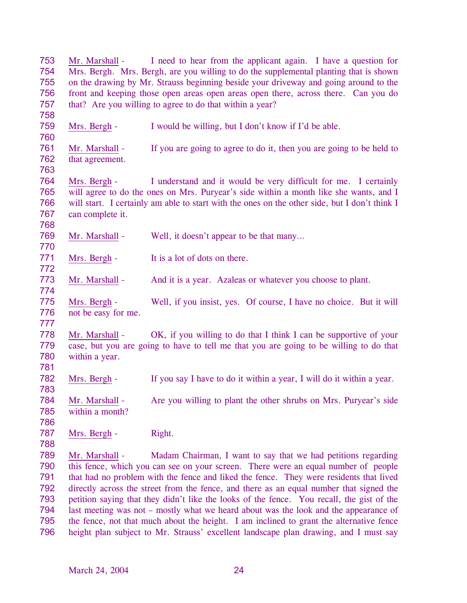753 754 755 756 757 758 Mr. Marshall - I need to hear from the applicant again. I have a question for Mrs. Bergh. Mrs. Bergh, are you willing to do the supplemental planting that is shown on the drawing by Mr. Strauss beginning beside your driveway and going around to the front and keeping those open areas open areas open there, across there. Can you do that? Are you willing to agree to do that within a year? 759 760 Mrs. Bergh - I would be willing, but I don't know if I'd be able. 761 762 763 Mr. Marshall - If you are going to agree to do it, then you are going to be held to that agreement. 764 765 766 767 768 Mrs. Bergh - I understand and it would be very difficult for me. I certainly will agree to do the ones on Mrs. Puryear's side within a month like she wants, and I will start. I certainly am able to start with the ones on the other side, but I don't think I can complete it. 769 770 Mr. Marshall - Well, it doesn't appear to be that many... 771 772 Mrs. Bergh - It is a lot of dots on there. 773 774 Mr. Marshall - And it is a year. Azaleas or whatever you choose to plant. 775 776 777 Mrs. Bergh - Well, if you insist, yes. Of course, I have no choice. But it will not be easy for me. 778 779 780 781 Mr. Marshall - OK, if you willing to do that I think I can be supportive of your case, but you are going to have to tell me that you are going to be willing to do that within a year. 782 783 Mrs. Bergh - If you say I have to do it within a year, I will do it within a year. 784 785 786 Mr. Marshall - Are you willing to plant the other shrubs on Mrs. Puryear's side within a month? 787 788 Mrs. Bergh - Right. Mr. Marshall - Madam Chairman, I want to say that we had petitions regarding this fence, which you can see on your screen. There were an equal number of people that had no problem with the fence and liked the fence. They were residents that lived directly across the street from the fence, and there as an equal number that signed the petition saying that they didn't like the looks of the fence. You recall, the gist of the last meeting was not – mostly what we heard about was the look and the appearance of the fence, not that much about the height. I am inclined to grant the alternative fence height plan subject to Mr. Strauss' excellent landscape plan drawing, and I must say 789 790 791 792 793 794 795 796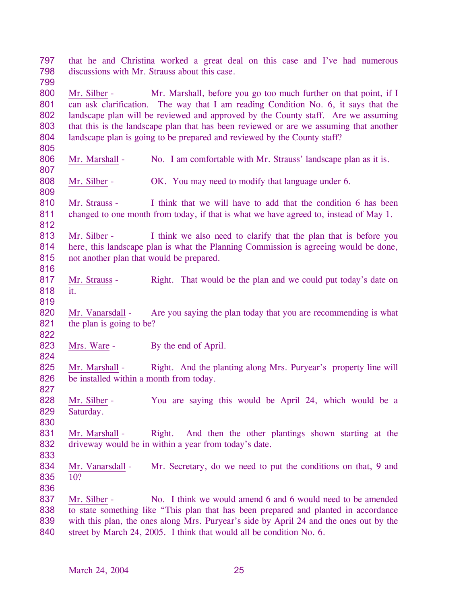797 798 799 that he and Christina worked a great deal on this case and I've had numerous discussions with Mr. Strauss about this case.

800 801 802 803 804 Mr. Silber - Mr. Marshall, before you go too much further on that point, if I can ask clarification. The way that I am reading Condition No. 6, it says that the landscape plan will be reviewed and approved by the County staff. Are we assuming that this is the landscape plan that has been reviewed or are we assuming that another landscape plan is going to be prepared and reviewed by the County staff?

- 806 Mr. Marshall - No. I am comfortable with Mr. Strauss' landscape plan as it is.
- 808 Mr. Silber - **OK.** You may need to modify that language under 6.
- 810 811 812 Mr. Strauss - I think that we will have to add that the condition 6 has been changed to one month from today, if that is what we have agreed to, instead of May 1.
- 813 814 815 Mr. Silber - I think we also need to clarify that the plan that is before you here, this landscape plan is what the Planning Commission is agreeing would be done, not another plan that would be prepared.
- 817 818 Mr. Strauss - Right. That would be the plan and we could put today's date on it.
- 819

822

824

827

830

816

805

807

- 820 821 Mr. Vanarsdall - Are you saying the plan today that you are recommending is what the plan is going to be?
- 823 Mrs. Ware - By the end of April.
- 825 826 Mr. Marshall - Right. And the planting along Mrs. Puryear's property line will be installed within a month from today.
- 828 829 Mr. Silber - You are saying this would be April 24, which would be a Saturday.
- 831 832 Mr. Marshall - Right. And then the other plantings shown starting at the driveway would be in within a year from today's date.
- 833
- 834 835 836 Mr. Vanarsdall - Mr. Secretary, do we need to put the conditions on that, 9 and 10?
- Mr. Silber No. I think we would amend 6 and 6 would need to be amended to state something like "This plan that has been prepared and planted in accordance with this plan, the ones along Mrs. Puryear's side by April 24 and the ones out by the street by March 24, 2005. I think that would all be condition No. 6. 837 838 839 840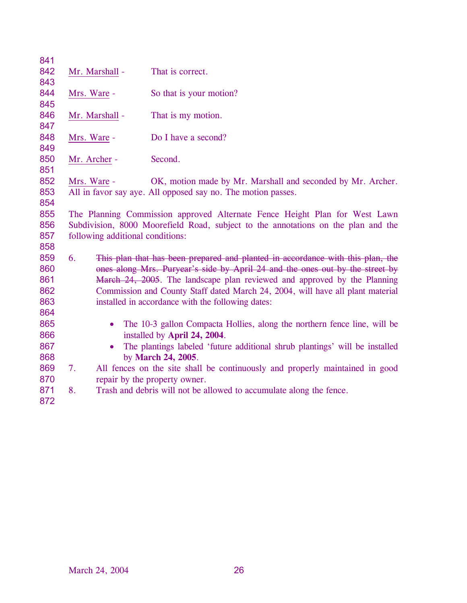| 841<br>842<br>843                             |                                                                                                                                                                                                     | Mr. Marshall -         | That is correct.                                                                                                                                                                                                                                                                                                                                                                  |
|-----------------------------------------------|-----------------------------------------------------------------------------------------------------------------------------------------------------------------------------------------------------|------------------------|-----------------------------------------------------------------------------------------------------------------------------------------------------------------------------------------------------------------------------------------------------------------------------------------------------------------------------------------------------------------------------------|
| 844<br>845                                    | Mrs. Ware -                                                                                                                                                                                         |                        | So that is your motion?                                                                                                                                                                                                                                                                                                                                                           |
| 846<br>847                                    |                                                                                                                                                                                                     | Mr. Marshall -         | That is my motion.                                                                                                                                                                                                                                                                                                                                                                |
| 848<br>849                                    | Mrs. Ware -                                                                                                                                                                                         |                        | Do I have a second?                                                                                                                                                                                                                                                                                                                                                               |
| 850<br>851                                    | Mr. Archer -                                                                                                                                                                                        |                        | Second.                                                                                                                                                                                                                                                                                                                                                                           |
| 852<br>853<br>854                             | Mrs. Ware -                                                                                                                                                                                         |                        | OK, motion made by Mr. Marshall and seconded by Mr. Archer.<br>All in favor say aye. All opposed say no. The motion passes.                                                                                                                                                                                                                                                       |
| 855<br>856<br>857                             | The Planning Commission approved Alternate Fence Height Plan for West Lawn<br>Subdivision, 8000 Moorefield Road, subject to the annotations on the plan and the<br>following additional conditions: |                        |                                                                                                                                                                                                                                                                                                                                                                                   |
| 858<br>859<br>860<br>861<br>862<br>863<br>864 | 6.                                                                                                                                                                                                  |                        | This plan that has been prepared and planted in accordance with this plan, the<br>ones along Mrs. Puryear's side by April 24 and the ones out by the street by<br>March 24, 2005. The landscape plan reviewed and approved by the Planning<br>Commission and County Staff dated March 24, 2004, will have all plant material<br>installed in accordance with the following dates: |
| 865<br>866<br>867<br>868                      |                                                                                                                                                                                                     | $\bullet$<br>$\bullet$ | The 10-3 gallon Compacta Hollies, along the northern fence line, will be<br>installed by April 24, 2004.<br>The plantings labeled 'future additional shrub plantings' will be installed<br>by March 24, 2005.                                                                                                                                                                     |
| 869<br>870                                    | 7.                                                                                                                                                                                                  |                        | All fences on the site shall be continuously and properly maintained in good<br>repair by the property owner.                                                                                                                                                                                                                                                                     |
| 871<br>872                                    | 8.                                                                                                                                                                                                  |                        | Trash and debris will not be allowed to accumulate along the fence.                                                                                                                                                                                                                                                                                                               |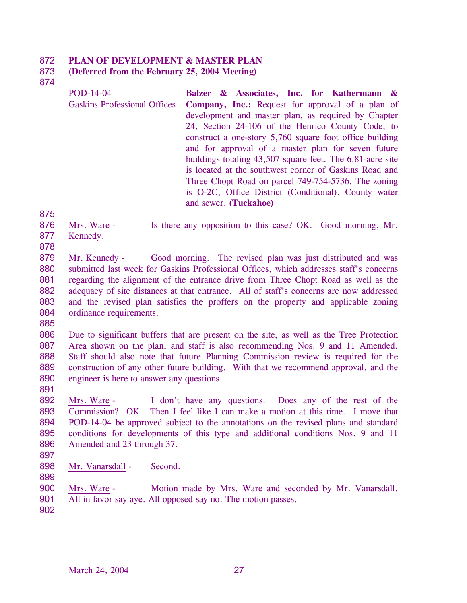#### 872 **PLAN OF DEVELOPMENT & MASTER PLAN**

### 873 **(Deferred from the February 25, 2004 Meeting)**

874

POD-14-04 Gaskins Professional Offices **Balzer & Associates, Inc. for Kathermann & Company, Inc.:** Request for approval of a plan of development and master plan, as required by Chapter 24, Section 24-106 of the Henrico County Code, to construct a one-story 5,760 square foot office building and for approval of a master plan for seven future buildings totaling 43,507 square feet. The 6.81-acre site is located at the southwest corner of Gaskins Road and Three Chopt Road on parcel 749-754-5736. The zoning is O-2C, Office District (Conditional). County water and sewer. **(Tuckahoe)** 

875

876 877 Mrs. Ware - Is there any opposition to this case? OK. Good morning, Mr. Kennedy.

878

879 880 881 882 883 884 Mr. Kennedy - Good morning. The revised plan was just distributed and was submitted last week for Gaskins Professional Offices, which addresses staff's concerns regarding the alignment of the entrance drive from Three Chopt Road as well as the adequacy of site distances at that entrance. All of staff's concerns are now addressed and the revised plan satisfies the proffers on the property and applicable zoning ordinance requirements.

885

886 887 888 889 890 Due to significant buffers that are present on the site, as well as the Tree Protection Area shown on the plan, and staff is also recommending Nos. 9 and 11 Amended. Staff should also note that future Planning Commission review is required for the construction of any other future building. With that we recommend approval, and the engineer is here to answer any questions.

- 892 893 894 895 896 Mrs. Ware - I don't have any questions. Does any of the rest of the Commission? OK. Then I feel like I can make a motion at this time. I move that POD-14-04 be approved subject to the annotations on the revised plans and standard conditions for developments of this type and additional conditions Nos. 9 and 11 Amended and 23 through 37.
- 897

891

898 Mr. Vanarsdall - Second.

899

900 901 Mrs. Ware - Motion made by Mrs. Ware and seconded by Mr. Vanarsdall. All in favor say aye. All opposed say no. The motion passes.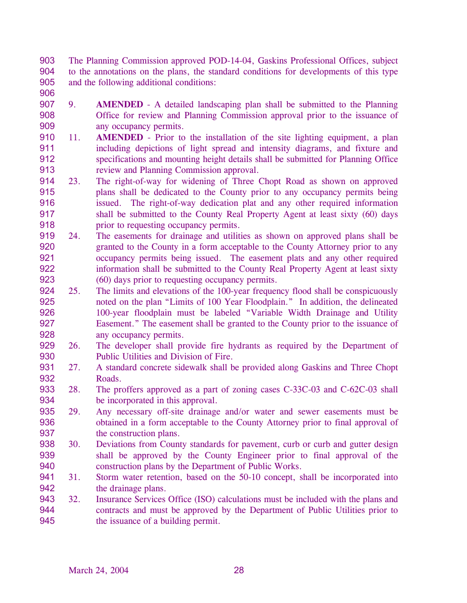903 904 905 The Planning Commission approved POD-14-04, Gaskins Professional Offices, subject to the annotations on the plans, the standard conditions for developments of this type and the following additional conditions:

- 906
- 907 908 909 9. **AMENDED** - A detailed landscaping plan shall be submitted to the Planning Office for review and Planning Commission approval prior to the issuance of any occupancy permits.
- 910 911 912 913 11. **AMENDED** - Prior to the installation of the site lighting equipment, a plan including depictions of light spread and intensity diagrams, and fixture and specifications and mounting height details shall be submitted for Planning Office review and Planning Commission approval.
- 914 915 916 917 918 23. The right-of-way for widening of Three Chopt Road as shown on approved plans shall be dedicated to the County prior to any occupancy permits being issued. The right-of-way dedication plat and any other required information shall be submitted to the County Real Property Agent at least sixty (60) days prior to requesting occupancy permits.
- 919 920 921 922 923 24. The easements for drainage and utilities as shown on approved plans shall be granted to the County in a form acceptable to the County Attorney prior to any occupancy permits being issued. The easement plats and any other required information shall be submitted to the County Real Property Agent at least sixty (60) days prior to requesting occupancy permits.
- 924 925 926 927 928 25. The limits and elevations of the 100-year frequency flood shall be conspicuously noted on the plan "Limits of 100 Year Floodplain." In addition, the delineated 100-year floodplain must be labeled "Variable Width Drainage and Utility Easement." The easement shall be granted to the County prior to the issuance of any occupancy permits.
- 929 930 26. The developer shall provide fire hydrants as required by the Department of Public Utilities and Division of Fire.
- 931 932 27. A standard concrete sidewalk shall be provided along Gaskins and Three Chopt Roads.
- 933 934 28. The proffers approved as a part of zoning cases C-33C-03 and C-62C-03 shall be incorporated in this approval.
- 935 936 937 29. Any necessary off-site drainage and/or water and sewer easements must be obtained in a form acceptable to the County Attorney prior to final approval of the construction plans.
- 938 939 940 30. Deviations from County standards for pavement, curb or curb and gutter design shall be approved by the County Engineer prior to final approval of the construction plans by the Department of Public Works.
- 941 942 31. Storm water retention, based on the 50-10 concept, shall be incorporated into the drainage plans.
- 943 944 945 32. Insurance Services Office (ISO) calculations must be included with the plans and contracts and must be approved by the Department of Public Utilities prior to the issuance of a building permit.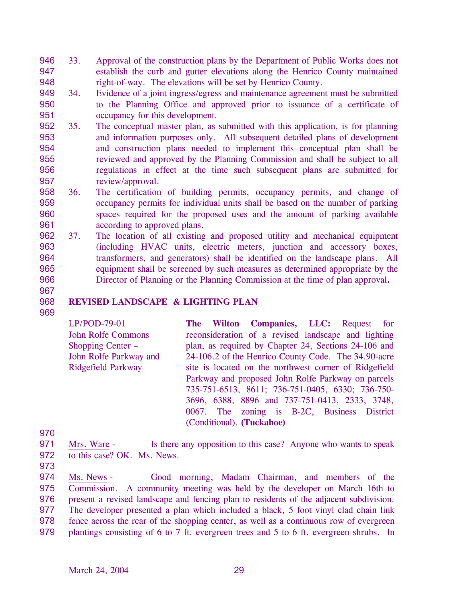- 946 947 948 33. Approval of the construction plans by the Department of Public Works does not establish the curb and gutter elevations along the Henrico County maintained right-of-way. The elevations will be set by Henrico County.
- 949 950 951 34. Evidence of a joint ingress/egress and maintenance agreement must be submitted to the Planning Office and approved prior to issuance of a certificate of occupancy for this development.
- 952 953 954 955 956 957 35. The conceptual master plan, as submitted with this application, is for planning and information purposes only. All subsequent detailed plans of development and construction plans needed to implement this conceptual plan shall be reviewed and approved by the Planning Commission and shall be subject to all regulations in effect at the time such subsequent plans are submitted for review/approval.
- 958 959 960 961 36. The certification of building permits, occupancy permits, and change of occupancy permits for individual units shall be based on the number of parking spaces required for the proposed uses and the amount of parking available according to approved plans.
- 962 963 964 965 966 37. The location of all existing and proposed utility and mechanical equipment (including HVAC units, electric meters, junction and accessory boxes, transformers, and generators) shall be identified on the landscape plans. All equipment shall be screened by such measures as determined appropriate by the Director of Planning or the Planning Commission at the time of plan approval**.**
- 967 968

969

# **REVISED LANDSCAPE & LIGHTING PLAN**

LP/POD-79-01 John Rolfe Commons Shopping Center – John Rolfe Parkway and Ridgefield Parkway **The Wilton Companies, LLC:** Request for reconsideration of a revised landscape and lighting plan, as required by Chapter 24, Sections 24-106 and 24-106.2 of the Henrico County Code. The 34.90-acre site is located on the northwest corner of Ridgefield Parkway and proposed John Rolfe Parkway on parcels 735-751-6513, 8611; 736-751-0405, 6330; 736-750- 3696, 6388, 8896 and 737-751-0413, 2333, 3748, 0067. The zoning is B-2C, Business District (Conditional). **(Tuckahoe)** 

970

971 972 Mrs. Ware - Is there any opposition to this case? Anyone who wants to speak to this case? OK. Ms. News.

973

Ms. News - Good morning, Madam Chairman, and members of the Commission. A community meeting was held by the developer on March 16th to present a revised landscape and fencing plan to residents of the adjacent subdivision. The developer presented a plan which included a black, 5 foot vinyl clad chain link fence across the rear of the shopping center, as well as a continuous row of evergreen plantings consisting of 6 to 7 ft. evergreen trees and 5 to 6 ft. evergreen shrubs. In 974 975 976 977 978 979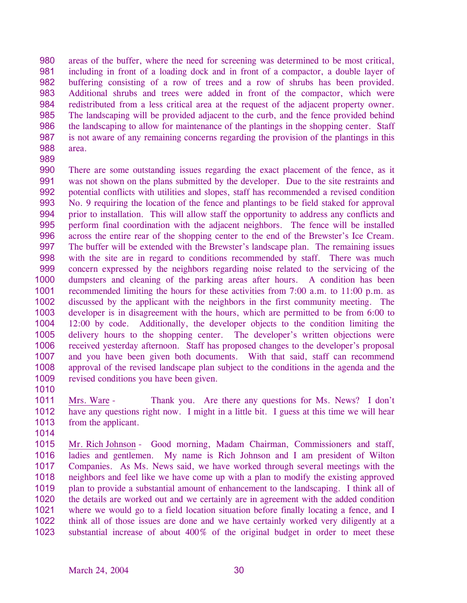980 981 982 983 984 985 986 987 988 areas of the buffer, where the need for screening was determined to be most critical, including in front of a loading dock and in front of a compactor, a double layer of buffering consisting of a row of trees and a row of shrubs has been provided. Additional shrubs and trees were added in front of the compactor, which were redistributed from a less critical area at the request of the adjacent property owner. The landscaping will be provided adjacent to the curb, and the fence provided behind the landscaping to allow for maintenance of the plantings in the shopping center. Staff is not aware of any remaining concerns regarding the provision of the plantings in this area.

- 989
- 990 991 992 993 994 995 996 997 998 999 1000 1001 1002 1003 1004 1005 1006 1007 1008 1009 There are some outstanding issues regarding the exact placement of the fence, as it was not shown on the plans submitted by the developer. Due to the site restraints and potential conflicts with utilities and slopes, staff has recommended a revised condition No. 9 requiring the location of the fence and plantings to be field staked for approval prior to installation. This will allow staff the opportunity to address any conflicts and perform final coordination with the adjacent neighbors. The fence will be installed across the entire rear of the shopping center to the end of the Brewster's Ice Cream. The buffer will be extended with the Brewster's landscape plan. The remaining issues with the site are in regard to conditions recommended by staff. There was much concern expressed by the neighbors regarding noise related to the servicing of the dumpsters and cleaning of the parking areas after hours. A condition has been recommended limiting the hours for these activities from 7:00 a.m. to 11:00 p.m. as discussed by the applicant with the neighbors in the first community meeting. The developer is in disagreement with the hours, which are permitted to be from 6:00 to 12:00 by code. Additionally, the developer objects to the condition limiting the delivery hours to the shopping center. The developer's written objections were received yesterday afternoon. Staff has proposed changes to the developer's proposal and you have been given both documents. With that said, staff can recommend approval of the revised landscape plan subject to the conditions in the agenda and the revised conditions you have been given.
- 1010

1011 1012 1013 Mrs. Ware - Thank you. Are there any questions for Ms. News? I don't have any questions right now. I might in a little bit. I guess at this time we will hear from the applicant.

1014

Mr. Rich Johnson - Good morning, Madam Chairman, Commissioners and staff, ladies and gentlemen. My name is Rich Johnson and I am president of Wilton Companies. As Ms. News said, we have worked through several meetings with the neighbors and feel like we have come up with a plan to modify the existing approved plan to provide a substantial amount of enhancement to the landscaping. I think all of the details are worked out and we certainly are in agreement with the added condition where we would go to a field location situation before finally locating a fence, and I think all of those issues are done and we have certainly worked very diligently at a substantial increase of about 400% of the original budget in order to meet these 1015 1016 1017 1018 1019 1020 1021 1022 1023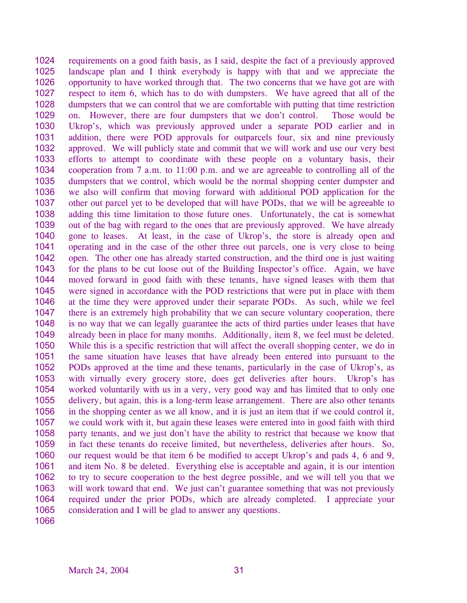1024 1025 1026 1027 1028 1029 1030 1031 1032 1033 1034 1035 1036 1037 1038 1039 1040 1041 1042 1043 1044 1045 1046 1047 1048 1049 1050 1051 1052 1053 1054 1055 1056 1057 1058 1059 1060 1061 1062 1063 1064 1065 requirements on a good faith basis, as I said, despite the fact of a previously approved landscape plan and I think everybody is happy with that and we appreciate the opportunity to have worked through that. The two concerns that we have got are with respect to item 6, which has to do with dumpsters. We have agreed that all of the dumpsters that we can control that we are comfortable with putting that time restriction on. However, there are four dumpsters that we don't control. Those would be Ukrop's, which was previously approved under a separate POD earlier and in addition, there were POD approvals for outparcels four, six and nine previously approved. We will publicly state and commit that we will work and use our very best efforts to attempt to coordinate with these people on a voluntary basis, their cooperation from 7 a.m. to 11:00 p.m. and we are agreeable to controlling all of the dumpsters that we control, which would be the normal shopping center dumpster and we also will confirm that moving forward with additional POD application for the other out parcel yet to be developed that will have PODs, that we will be agreeable to adding this time limitation to those future ones. Unfortunately, the cat is somewhat out of the bag with regard to the ones that are previously approved. We have already gone to leases. At least, in the case of Ukrop's, the store is already open and operating and in the case of the other three out parcels, one is very close to being open. The other one has already started construction, and the third one is just waiting for the plans to be cut loose out of the Building Inspector's office. Again, we have moved forward in good faith with these tenants, have signed leases with them that were signed in accordance with the POD restrictions that were put in place with them at the time they were approved under their separate PODs. As such, while we feel there is an extremely high probability that we can secure voluntary cooperation, there is no way that we can legally guarantee the acts of third parties under leases that have already been in place for many months. Additionally, item 8, we feel must be deleted. While this is a specific restriction that will affect the overall shopping center, we do in the same situation have leases that have already been entered into pursuant to the PODs approved at the time and these tenants, particularly in the case of Ukrop's, as with virtually every grocery store, does get deliveries after hours. Ukrop's has worked voluntarily with us in a very, very good way and has limited that to only one delivery, but again, this is a long-term lease arrangement. There are also other tenants in the shopping center as we all know, and it is just an item that if we could control it, we could work with it, but again these leases were entered into in good faith with third party tenants, and we just don't have the ability to restrict that because we know that in fact these tenants do receive limited, but nevertheless, deliveries after hours. So, our request would be that item 6 be modified to accept Ukrop's and pads 4, 6 and 9, and item No. 8 be deleted. Everything else is acceptable and again, it is our intention to try to secure cooperation to the best degree possible, and we will tell you that we will work toward that end. We just can't guarantee something that was not previously required under the prior PODs, which are already completed. I appreciate your consideration and I will be glad to answer any questions.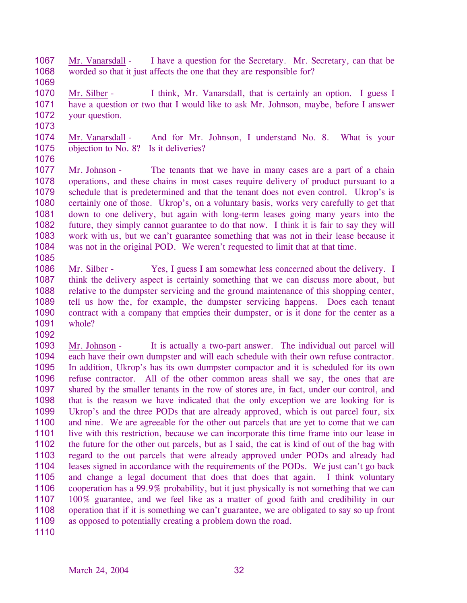- 1067 1068 Mr. Vanarsdall - I have a question for the Secretary. Mr. Secretary, can that be worded so that it just affects the one that they are responsible for?
- 1070 1071 1072 Mr. Silber - I think, Mr. Vanarsdall, that is certainly an option. I guess I have a question or two that I would like to ask Mr. Johnson, maybe, before I answer your question.
- 1073

1085

1092

- 1074 1075 1076 Mr. Vanarsdall - And for Mr. Johnson, I understand No. 8. What is your objection to No. 8? Is it deliveries?
- 1077 1078 1079 1080 1081 1082 1083 1084 Mr. Johnson - The tenants that we have in many cases are a part of a chain operations, and these chains in most cases require delivery of product pursuant to a schedule that is predetermined and that the tenant does not even control. Ukrop's is certainly one of those. Ukrop's, on a voluntary basis, works very carefully to get that down to one delivery, but again with long-term leases going many years into the future, they simply cannot guarantee to do that now. I think it is fair to say they will work with us, but we can't guarantee something that was not in their lease because it was not in the original POD. We weren't requested to limit that at that time.
- 1086 1087 1088 1089 1090 1091 Mr. Silber - Yes, I guess I am somewhat less concerned about the delivery. I think the delivery aspect is certainly something that we can discuss more about, but relative to the dumpster servicing and the ground maintenance of this shopping center, tell us how the, for example, the dumpster servicing happens. Does each tenant contract with a company that empties their dumpster, or is it done for the center as a whole?
- 1093 1094 1095 1096 1097 1098 1099 1100 1101 1102 1103 1104 1105 1106 1107 1108 1109 Mr. Johnson - It is actually a two-part answer. The individual out parcel will each have their own dumpster and will each schedule with their own refuse contractor. In addition, Ukrop's has its own dumpster compactor and it is scheduled for its own refuse contractor. All of the other common areas shall we say, the ones that are shared by the smaller tenants in the row of stores are, in fact, under our control, and that is the reason we have indicated that the only exception we are looking for is Ukrop's and the three PODs that are already approved, which is out parcel four, six and nine. We are agreeable for the other out parcels that are yet to come that we can live with this restriction, because we can incorporate this time frame into our lease in the future for the other out parcels, but as I said, the cat is kind of out of the bag with regard to the out parcels that were already approved under PODs and already had leases signed in accordance with the requirements of the PODs. We just can't go back and change a legal document that does that does that again. I think voluntary cooperation has a 99.9% probability, but it just physically is not something that we can 100% guarantee, and we feel like as a matter of good faith and credibility in our operation that if it is something we can't guarantee, we are obligated to say so up front as opposed to potentially creating a problem down the road.
- 1110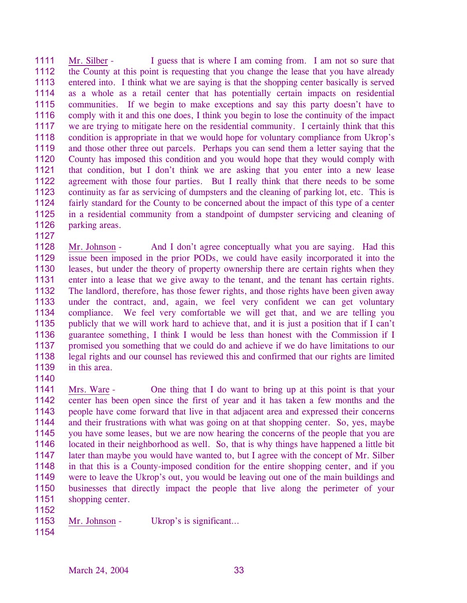1111 1112 1113 1114 1115 1116 1117 1118 1119 1120 1121 1122 1123 1124 1125 1126 Mr. Silber - I guess that is where I am coming from. I am not so sure that the County at this point is requesting that you change the lease that you have already entered into. I think what we are saying is that the shopping center basically is served as a whole as a retail center that has potentially certain impacts on residential communities. If we begin to make exceptions and say this party doesn't have to comply with it and this one does, I think you begin to lose the continuity of the impact we are trying to mitigate here on the residential community. I certainly think that this condition is appropriate in that we would hope for voluntary compliance from Ukrop's and those other three out parcels. Perhaps you can send them a letter saying that the County has imposed this condition and you would hope that they would comply with that condition, but I don't think we are asking that you enter into a new lease agreement with those four parties. But I really think that there needs to be some continuity as far as servicing of dumpsters and the cleaning of parking lot, etc. This is fairly standard for the County to be concerned about the impact of this type of a center in a residential community from a standpoint of dumpster servicing and cleaning of parking areas.

1128 1129 1130 1131 1132 1133 1134 1135 1136 1137 1138 1139 Mr. Johnson - And I don't agree conceptually what you are saying. Had this issue been imposed in the prior PODs, we could have easily incorporated it into the leases, but under the theory of property ownership there are certain rights when they enter into a lease that we give away to the tenant, and the tenant has certain rights. The landlord, therefore, has those fewer rights, and those rights have been given away under the contract, and, again, we feel very confident we can get voluntary compliance. We feel very comfortable we will get that, and we are telling you publicly that we will work hard to achieve that, and it is just a position that if I can't guarantee something, I think I would be less than honest with the Commission if I promised you something that we could do and achieve if we do have limitations to our legal rights and our counsel has reviewed this and confirmed that our rights are limited in this area.

1140

1127

1141 1142 1143 1144 1145 1146 1147 1148 1149 1150 1151 Mrs. Ware - One thing that I do want to bring up at this point is that your center has been open since the first of year and it has taken a few months and the people have come forward that live in that adjacent area and expressed their concerns and their frustrations with what was going on at that shopping center. So, yes, maybe you have some leases, but we are now hearing the concerns of the people that you are located in their neighborhood as well. So, that is why things have happened a little bit later than maybe you would have wanted to, but I agree with the concept of Mr. Silber in that this is a County-imposed condition for the entire shopping center, and if you were to leave the Ukrop's out, you would be leaving out one of the main buildings and businesses that directly impact the people that live along the perimeter of your shopping center.

1152

<sup>1153</sup>  Mr. Johnson - Ukrop's is significant...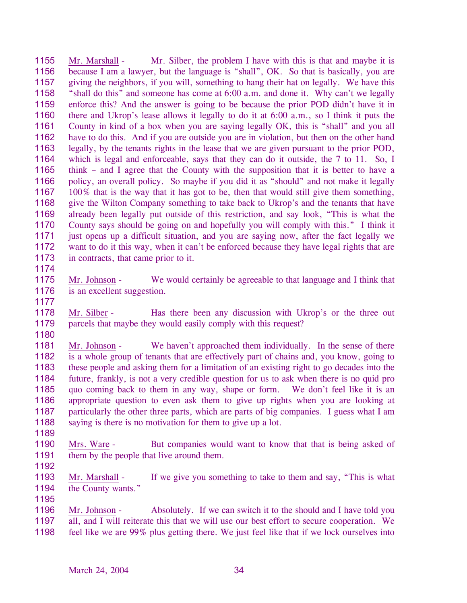1155 1156 1157 1158 1159 1160 1161 1162 1163 1164 1165 1166 1167 1168 1169 1170 1171 1172 1173 1174 Mr. Marshall - Mr. Silber, the problem I have with this is that and maybe it is because I am a lawyer, but the language is "shall", OK. So that is basically, you are giving the neighbors, if you will, something to hang their hat on legally. We have this "shall do this" and someone has come at 6:00 a.m. and done it. Why can't we legally enforce this? And the answer is going to be because the prior POD didn't have it in there and Ukrop's lease allows it legally to do it at 6:00 a.m., so I think it puts the County in kind of a box when you are saying legally OK, this is "shall" and you all have to do this. And if you are outside you are in violation, but then on the other hand legally, by the tenants rights in the lease that we are given pursuant to the prior POD, which is legal and enforceable, says that they can do it outside, the 7 to 11. So, I think – and I agree that the County with the supposition that it is better to have a policy, an overall policy. So maybe if you did it as "should" and not make it legally 100% that is the way that it has got to be, then that would still give them something, give the Wilton Company something to take back to Ukrop's and the tenants that have already been legally put outside of this restriction, and say look, "This is what the County says should be going on and hopefully you will comply with this." I think it just opens up a difficult situation, and you are saying now, after the fact legally we want to do it this way, when it can't be enforced because they have legal rights that are in contracts, that came prior to it.

- 1175 1176 Mr. Johnson - We would certainly be agreeable to that language and I think that is an excellent suggestion.
- 1177

1180

1178 1179 Mr. Silber - Has there been any discussion with Ukrop's or the three out parcels that maybe they would easily comply with this request?

- 1181 1182 1183 1184 1185 1186 1187 1188 Mr. Johnson - We haven't approached them individually. In the sense of there is a whole group of tenants that are effectively part of chains and, you know, going to these people and asking them for a limitation of an existing right to go decades into the future, frankly, is not a very credible question for us to ask when there is no quid pro quo coming back to them in any way, shape or form. We don't feel like it is an appropriate question to even ask them to give up rights when you are looking at particularly the other three parts, which are parts of big companies. I guess what I am saying is there is no motivation for them to give up a lot.
- 1189

1190 1191 Mrs. Ware - But companies would want to know that that is being asked of them by the people that live around them.

1192

1193 1194 1195 Mr. Marshall - If we give you something to take to them and say, "This is what the County wants."

Mr. Johnson - Absolutely. If we can switch it to the should and I have told you all, and I will reiterate this that we will use our best effort to secure cooperation. We feel like we are 99% plus getting there. We just feel like that if we lock ourselves into 1196 1197 1198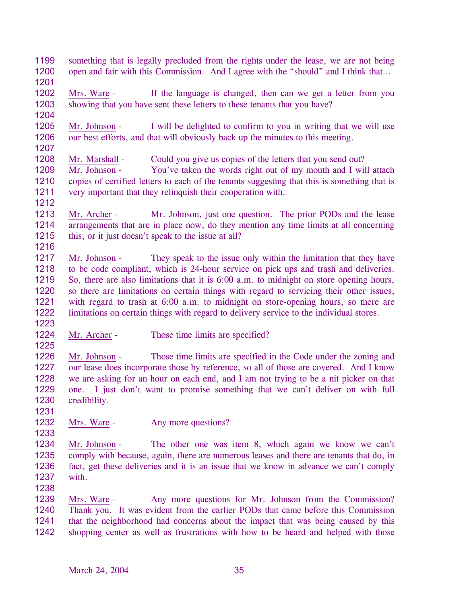- 1199 1200 something that is legally precluded from the rights under the lease, we are not being open and fair with this Commission. And I agree with the "should" and I think that…
- 1201
- 1202 1203 Mrs. Ware - If the language is changed, then can we get a letter from you showing that you have sent these letters to these tenants that you have?
- 1204

1205 1206 1207 Mr. Johnson - I will be delighted to confirm to you in writing that we will use our best efforts, and that will obviously back up the minutes to this meeting.

1208 Mr. Marshall - Could you give us copies of the letters that you send out?

1209 1210 1211 Mr. Johnson - You've taken the words right out of my mouth and I will attach copies of certified letters to each of the tenants suggesting that this is something that is very important that they relinquish their cooperation with.

1212

1213 1214 1215 1216 Mr. Archer - Mr. Johnson, just one question. The prior PODs and the lease arrangements that are in place now, do they mention any time limits at all concerning this, or it just doesn't speak to the issue at all?

- 1217 1218 1219 1220 1221 1222 Mr. Johnson - They speak to the issue only within the limitation that they have to be code compliant, which is 24-hour service on pick ups and trash and deliveries. So, there are also limitations that it is 6:00 a.m. to midnight on store opening hours, so there are limitations on certain things with regard to servicing their other issues, with regard to trash at 6:00 a.m. to midnight on store-opening hours, so there are limitations on certain things with regard to delivery service to the individual stores.
- 1223
- 1224 1225 Mr. Archer - Those time limits are specified?

1226 1227 1228 1229 1230 Mr. Johnson - Those time limits are specified in the Code under the zoning and our lease does incorporate those by reference, so all of those are covered. And I know we are asking for an hour on each end, and I am not trying to be a nit picker on that one. I just don't want to promise something that we can't deliver on with full credibility.

1232 Mrs. Ware - Any more questions?

1234 1235 1236 1237 Mr. Johnson - The other one was item 8, which again we know we can't comply with because, again, there are numerous leases and there are tenants that do, in fact, get these deliveries and it is an issue that we know in advance we can't comply with.

1238

1231

1233

Mrs. Ware - Any more questions for Mr. Johnson from the Commission? Thank you. It was evident from the earlier PODs that came before this Commission that the neighborhood had concerns about the impact that was being caused by this shopping center as well as frustrations with how to be heard and helped with those 1239 1240 1241 1242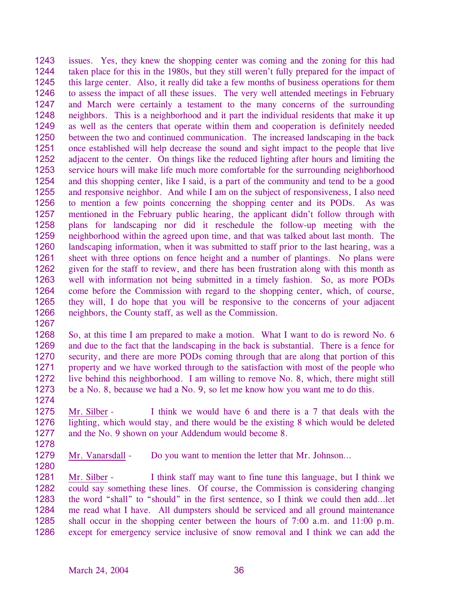1243 1244 1245 1246 1247 1248 1249 1250 1251 1252 1253 1254 1255 1256 1257 1258 1259 1260 1261 1262 1263 1264 1265 1266 issues. Yes, they knew the shopping center was coming and the zoning for this had taken place for this in the 1980s, but they still weren't fully prepared for the impact of this large center. Also, it really did take a few months of business operations for them to assess the impact of all these issues. The very well attended meetings in February and March were certainly a testament to the many concerns of the surrounding neighbors. This is a neighborhood and it part the individual residents that make it up as well as the centers that operate within them and cooperation is definitely needed between the two and continued communication. The increased landscaping in the back once established will help decrease the sound and sight impact to the people that live adjacent to the center. On things like the reduced lighting after hours and limiting the service hours will make life much more comfortable for the surrounding neighborhood and this shopping center, like I said, is a part of the community and tend to be a good and responsive neighbor. And while I am on the subject of responsiveness, I also need to mention a few points concerning the shopping center and its PODs. As was mentioned in the February public hearing, the applicant didn't follow through with plans for landscaping nor did it reschedule the follow-up meeting with the neighborhood within the agreed upon time, and that was talked about last month. The landscaping information, when it was submitted to staff prior to the last hearing, was a sheet with three options on fence height and a number of plantings. No plans were given for the staff to review, and there has been frustration along with this month as well with information not being submitted in a timely fashion. So, as more PODs come before the Commission with regard to the shopping center, which, of course, they will, I do hope that you will be responsive to the concerns of your adjacent neighbors, the County staff, as well as the Commission.

1267

1268 1269 1270 1271 1272 1273 So, at this time I am prepared to make a motion. What I want to do is reword No. 6 and due to the fact that the landscaping in the back is substantial. There is a fence for security, and there are more PODs coming through that are along that portion of this property and we have worked through to the satisfaction with most of the people who live behind this neighborhood. I am willing to remove No. 8, which, there might still be a No. 8, because we had a No. 9, so let me know how you want me to do this.

1275 1276 1277 Mr. Silber - I think we would have 6 and there is a 7 that deals with the lighting, which would stay, and there would be the existing 8 which would be deleted and the No. 9 shown on your Addendum would become 8.

1278

1274

1279 1280

Mr. Vanarsdall - Do you want to mention the letter that Mr. Johnson...

Mr. Silber - I think staff may want to fine tune this language, but I think we could say something these lines. Of course, the Commission is considering changing the word "shall" to "should" in the first sentence, so I think we could then add…let me read what I have. All dumpsters should be serviced and all ground maintenance shall occur in the shopping center between the hours of 7:00 a.m. and 11:00 p.m. except for emergency service inclusive of snow removal and I think we can add the 1281 1282 1283 1284 1285 1286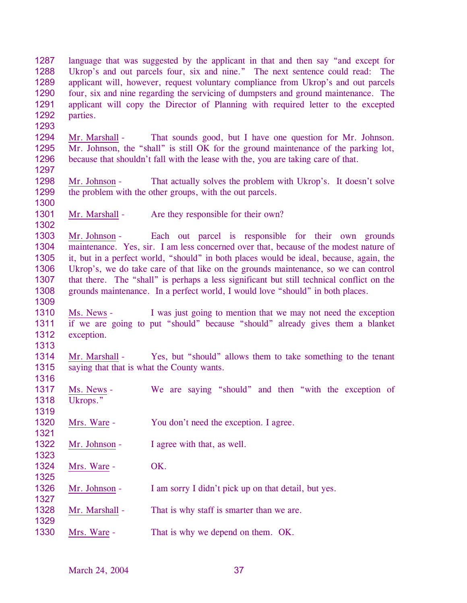1287 1288 1289 1290 1291 1292 1293 language that was suggested by the applicant in that and then say "and except for Ukrop's and out parcels four, six and nine." The next sentence could read: The applicant will, however, request voluntary compliance from Ukrop's and out parcels four, six and nine regarding the servicing of dumpsters and ground maintenance. The applicant will copy the Director of Planning with required letter to the excepted parties. 1294 1295 1296 1297 Mr. Marshall - That sounds good, but I have one question for Mr. Johnson. Mr. Johnson, the "shall" is still OK for the ground maintenance of the parking lot, because that shouldn't fall with the lease with the, you are taking care of that. 1298 1299 1300 Mr. Johnson - That actually solves the problem with Ukrop's. It doesn't solve the problem with the other groups, with the out parcels. 1301 1302 Mr. Marshall - Are they responsible for their own? 1303 1304 1305 1306 1307 1308 1309 Mr. Johnson - Each out parcel is responsible for their own grounds maintenance. Yes, sir. I am less concerned over that, because of the modest nature of it, but in a perfect world, "should" in both places would be ideal, because, again, the Ukrop's, we do take care of that like on the grounds maintenance, so we can control that there. The "shall" is perhaps a less significant but still technical conflict on the grounds maintenance. In a perfect world, I would love "should" in both places. 1310 1311 1312 1313 Ms. News - I was just going to mention that we may not need the exception if we are going to put "should" because "should" already gives them a blanket exception. 1314 1315 1316 Mr. Marshall - Yes, but "should" allows them to take something to the tenant saying that that is what the County wants. 1317 1318 1319 Ms. News - We are saying "should" and then "with the exception of Ukrops." 1320 1321 Mrs. Ware - You don't need the exception. I agree. 1322 1323 Mr. Johnson - I agree with that, as well. 1324 1325 Mrs. Ware - OK. 1326 1327 Mr. Johnson - I am sorry I didn't pick up on that detail, but yes. 1328 1329 Mr. Marshall - That is why staff is smarter than we are. 1330 Mrs. Ware - That is why we depend on them. OK.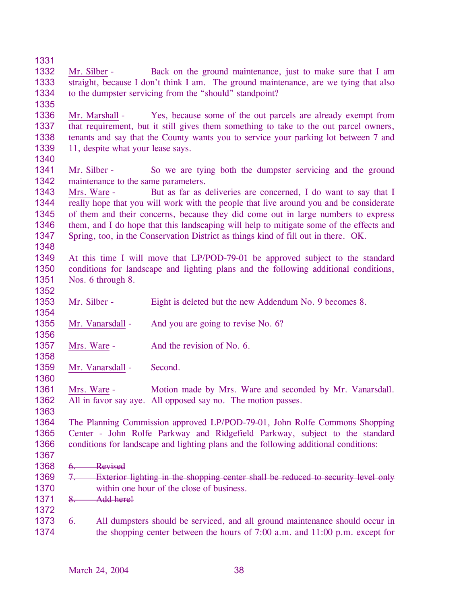- 1331 1332 1333 1334 1335 Mr. Silber - Back on the ground maintenance, just to make sure that I am straight, because I don't think I am. The ground maintenance, are we tying that also to the dumpster servicing from the "should" standpoint? 1336 1337 1338 1339 1340 Mr. Marshall - Yes, because some of the out parcels are already exempt from that requirement, but it still gives them something to take to the out parcel owners, tenants and say that the County wants you to service your parking lot between 7 and 11, despite what your lease says. 1341 1342 Mr. Silber - So we are tying both the dumpster servicing and the ground maintenance to the same parameters. 1343 1344 1345 1346 1347 1348 1349 1350 1351 1352 Mrs. Ware - But as far as deliveries are concerned, I do want to say that I really hope that you will work with the people that live around you and be considerate of them and their concerns, because they did come out in large numbers to express them, and I do hope that this landscaping will help to mitigate some of the effects and Spring, too, in the Conservation District as things kind of fill out in there. OK. At this time I will move that LP/POD-79-01 be approved subject to the standard conditions for landscape and lighting plans and the following additional conditions, Nos. 6 through 8. 1353 1354 Mr. Silber - Eight is deleted but the new Addendum No. 9 becomes 8. 1355 1356 Mr. Vanarsdall - And you are going to revise No. 6? 1357 1358 Mrs. Ware - And the revision of No. 6. 1359 Mr. Vanarsdall - Second.
- 1361 1362 Mrs. Ware - Motion made by Mrs. Ware and seconded by Mr. Vanarsdall. All in favor say aye. All opposed say no. The motion passes.
- 1364 1365 1366 The Planning Commission approved LP/POD-79-01, John Rolfe Commons Shopping Center - John Rolfe Parkway and Ridgefield Parkway, subject to the standard conditions for landscape and lighting plans and the following additional conditions:
- 1367

1372

1360

- 1368 6. Revised
- 7. Exterior lighting in the shopping center shall be reduced to security level only within one hour of the close of business. 1369 1370
- 1371 8. Add here!
- 1373 1374 6. All dumpsters should be serviced, and all ground maintenance should occur in the shopping center between the hours of 7:00 a.m. and 11:00 p.m. except for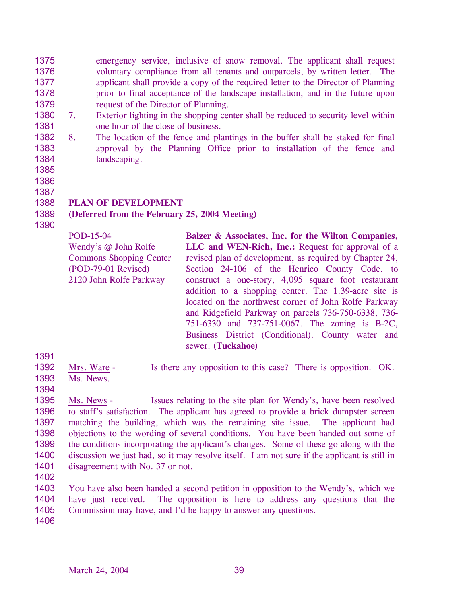1375 1376 1377 1378 1379 emergency service, inclusive of snow removal. The applicant shall request voluntary compliance from all tenants and outparcels, by written letter. The applicant shall provide a copy of the required letter to the Director of Planning prior to final acceptance of the landscape installation, and in the future upon request of the Director of Planning.

- 1380 1381 7. Exterior lighting in the shopping center shall be reduced to security level within one hour of the close of business.
- 1382 1383 1384 8. The location of the fence and plantings in the buffer shall be staked for final approval by the Planning Office prior to installation of the fence and landscaping.
- 1385
- 1386

1390

## 1387 1388 **PLAN OF DEVELOPMENT**

### 1389 **(Deferred from the February 25, 2004 Meeting)**

POD-15-04 Wendy's @ John Rolfe Commons Shopping Center (POD-79-01 Revised) 2120 John Rolfe Parkway **Balzer & Associates, Inc. for the Wilton Companies, LLC and WEN-Rich, Inc.:** Request for approval of a revised plan of development, as required by Chapter 24, Section 24-106 of the Henrico County Code, to construct a one-story, 4,095 square foot restaurant addition to a shopping center. The 1.39-acre site is located on the northwest corner of John Rolfe Parkway and Ridgefield Parkway on parcels 736-750-6338, 736- 751-6330 and 737-751-0067. The zoning is B-2C, Business District (Conditional). County water and sewer. **(Tuckahoe)** 

- 1391
- Mrs. Ware Is there any opposition to this case? There is opposition. OK. 1392
- Ms. News. 1393 1394

1395 1396 1397 1398 1399 1400 1401 Ms. News - Issues relating to the site plan for Wendy's, have been resolved to staff's satisfaction. The applicant has agreed to provide a brick dumpster screen matching the building, which was the remaining site issue. The applicant had objections to the wording of several conditions. You have been handed out some of the conditions incorporating the applicant's changes. Some of these go along with the discussion we just had, so it may resolve itself. I am not sure if the applicant is still in disagreement with No. 37 or not.

1402

1403 1404 1405 You have also been handed a second petition in opposition to the Wendy's, which we have just received. The opposition is here to address any questions that the Commission may have, and I'd be happy to answer any questions.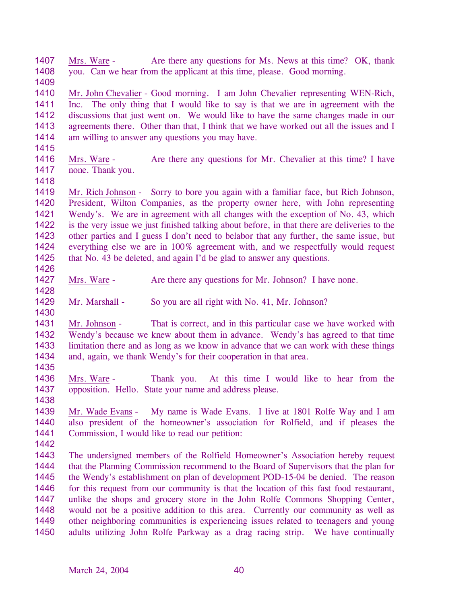1407 1408 Mrs. Ware - Are there any questions for Ms. News at this time? OK, thank you. Can we hear from the applicant at this time, please. Good morning.

1410 1411 1412 1413 1414 Mr. John Chevalier - Good morning. I am John Chevalier representing WEN-Rich, Inc. The only thing that I would like to say is that we are in agreement with the discussions that just went on. We would like to have the same changes made in our agreements there. Other than that, I think that we have worked out all the issues and I am willing to answer any questions you may have.

- 1416 1417 Mrs. Ware - Are there any questions for Mr. Chevalier at this time? I have none. Thank you.
- 1418

1415

1409

1419 1420 1421 1422 1423 1424 1425 Mr. Rich Johnson - Sorry to bore you again with a familiar face, but Rich Johnson, President, Wilton Companies, as the property owner here, with John representing Wendy's. We are in agreement with all changes with the exception of No. 43, which is the very issue we just finished talking about before, in that there are deliveries to the other parties and I guess I don't need to belabor that any further, the same issue, but everything else we are in 100% agreement with, and we respectfully would request that No. 43 be deleted, and again I'd be glad to answer any questions.

1426

1427 Mrs. Ware - Are there any questions for Mr. Johnson? I have none.

1428

1429 Mr. Marshall - So you are all right with No. 41, Mr. Johnson?

1430

1431 1432 1433 1434 Mr. Johnson - That is correct, and in this particular case we have worked with Wendy's because we knew about them in advance. Wendy's has agreed to that time limitation there and as long as we know in advance that we can work with these things and, again, we thank Wendy's for their cooperation in that area.

1435

1438

- 1436 1437 Mrs. Ware - Thank you. At this time I would like to hear from the opposition. Hello. State your name and address please.
- 1439 1440 1441 Mr. Wade Evans - My name is Wade Evans. I live at 1801 Rolfe Way and I am also president of the homeowner's association for Rolfield, and if pleases the Commission, I would like to read our petition:
- 1442

1443 1444 1445 1446 1447 1448 1449 1450 The undersigned members of the Rolfield Homeowner's Association hereby request that the Planning Commission recommend to the Board of Supervisors that the plan for the Wendy's establishment on plan of development POD-15-04 be denied. The reason for this request from our community is that the location of this fast food restaurant, unlike the shops and grocery store in the John Rolfe Commons Shopping Center, would not be a positive addition to this area. Currently our community as well as other neighboring communities is experiencing issues related to teenagers and young adults utilizing John Rolfe Parkway as a drag racing strip. We have continually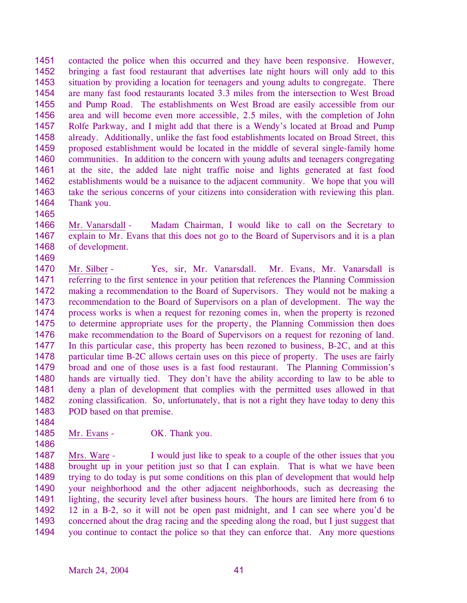1451 1452 1453 1454 1455 1456 1457 1458 1459 1460 1461 1462 1463 1464 contacted the police when this occurred and they have been responsive. However, bringing a fast food restaurant that advertises late night hours will only add to this situation by providing a location for teenagers and young adults to congregate. There are many fast food restaurants located 3.3 miles from the intersection to West Broad and Pump Road. The establishments on West Broad are easily accessible from our area and will become even more accessible, 2.5 miles, with the completion of John Rolfe Parkway, and I might add that there is a Wendy's located at Broad and Pump already. Additionally, unlike the fast food establishments located on Broad Street, this proposed establishment would be located in the middle of several single-family home communities. In addition to the concern with young adults and teenagers congregating at the site, the added late night traffic noise and lights generated at fast food establishments would be a nuisance to the adjacent community. We hope that you will take the serious concerns of your citizens into consideration with reviewing this plan. Thank you.

1465

1484

1486

1466 1467 1468 1469 Mr. Vanarsdall - Madam Chairman, I would like to call on the Secretary to explain to Mr. Evans that this does not go to the Board of Supervisors and it is a plan of development.

1470 1471 1472 1473 1474 1475 1476 1477 1478 1479 1480 1481 1482 1483 Mr. Silber - Yes, sir, Mr. Vanarsdall. Mr. Evans, Mr. Vanarsdall is referring to the first sentence in your petition that references the Planning Commission making a recommendation to the Board of Supervisors. They would not be making a recommendation to the Board of Supervisors on a plan of development. The way the process works is when a request for rezoning comes in, when the property is rezoned to determine appropriate uses for the property, the Planning Commission then does make recommendation to the Board of Supervisors on a request for rezoning of land. In this particular case, this property has been rezoned to business, B-2C, and at this particular time B-2C allows certain uses on this piece of property. The uses are fairly broad and one of those uses is a fast food restaurant. The Planning Commission's hands are virtually tied. They don't have the ability according to law to be able to deny a plan of development that complies with the permitted uses allowed in that zoning classification. So, unfortunately, that is not a right they have today to deny this POD based on that premise.

1485 Mr. Evans - OK. Thank you.

Mrs. Ware - I would just like to speak to a couple of the other issues that you brought up in your petition just so that I can explain. That is what we have been trying to do today is put some conditions on this plan of development that would help your neighborhood and the other adjacent neighborhoods, such as decreasing the lighting, the security level after business hours. The hours are limited here from 6 to 12 in a B-2, so it will not be open past midnight, and I can see where you'd be concerned about the drag racing and the speeding along the road, but I just suggest that you continue to contact the police so that they can enforce that. Any more questions 1487 1488 1489 1490 1491 1492 1493 1494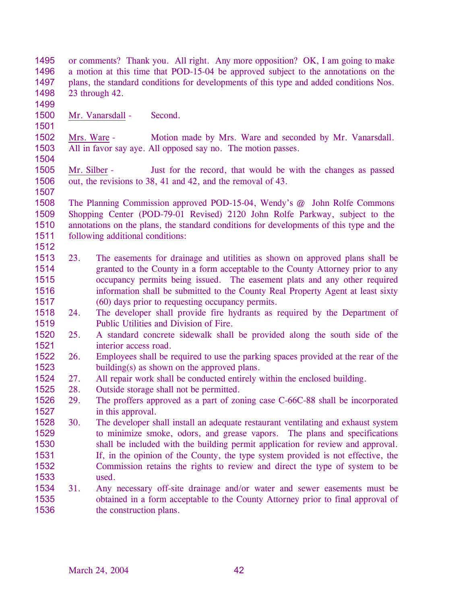| 1495         |                                                                                        | or comments? Thank you. All right. Any more opposition? OK, I am going to make                                                   |  |  |  |
|--------------|----------------------------------------------------------------------------------------|----------------------------------------------------------------------------------------------------------------------------------|--|--|--|
| 1496         | a motion at this time that POD-15-04 be approved subject to the annotations on the     |                                                                                                                                  |  |  |  |
| 1497         | plans, the standard conditions for developments of this type and added conditions Nos. |                                                                                                                                  |  |  |  |
| 1498         |                                                                                        | 23 through 42.                                                                                                                   |  |  |  |
| 1499         |                                                                                        |                                                                                                                                  |  |  |  |
| 1500         |                                                                                        | Mr. Vanarsdall -<br>Second.                                                                                                      |  |  |  |
| 1501         |                                                                                        |                                                                                                                                  |  |  |  |
| 1502<br>1503 | Mrs. Ware -                                                                            | Motion made by Mrs. Ware and seconded by Mr. Vanarsdall.<br>All in favor say aye. All opposed say no. The motion passes.         |  |  |  |
| 1504         |                                                                                        |                                                                                                                                  |  |  |  |
| 1505         | Mr. Silber -                                                                           | Just for the record, that would be with the changes as passed                                                                    |  |  |  |
| 1506<br>1507 |                                                                                        | out, the revisions to 38, 41 and 42, and the removal of 43.                                                                      |  |  |  |
| 1508         |                                                                                        | The Planning Commission approved POD-15-04, Wendy's @ John Rolfe Commons                                                         |  |  |  |
| 1509         |                                                                                        | Shopping Center (POD-79-01 Revised) 2120 John Rolfe Parkway, subject to the                                                      |  |  |  |
| 1510         |                                                                                        | annotations on the plans, the standard conditions for developments of this type and the                                          |  |  |  |
| 1511         |                                                                                        | following additional conditions:                                                                                                 |  |  |  |
| 1512         |                                                                                        |                                                                                                                                  |  |  |  |
| 1513         | 23.                                                                                    | The easements for drainage and utilities as shown on approved plans shall be                                                     |  |  |  |
| 1514         |                                                                                        | granted to the County in a form acceptable to the County Attorney prior to any                                                   |  |  |  |
|              |                                                                                        |                                                                                                                                  |  |  |  |
| 1515         |                                                                                        | occupancy permits being issued. The easement plats and any other required                                                        |  |  |  |
| 1516         |                                                                                        | information shall be submitted to the County Real Property Agent at least sixty                                                  |  |  |  |
| 1517         |                                                                                        | (60) days prior to requesting occupancy permits.                                                                                 |  |  |  |
| 1518         | 24.                                                                                    | The developer shall provide fire hydrants as required by the Department of                                                       |  |  |  |
| 1519         |                                                                                        | Public Utilities and Division of Fire.                                                                                           |  |  |  |
| 1520         | 25.                                                                                    | A standard concrete sidewalk shall be provided along the south side of the                                                       |  |  |  |
| 1521         |                                                                                        | interior access road.                                                                                                            |  |  |  |
| 1522<br>1523 | 26.                                                                                    | Employees shall be required to use the parking spaces provided at the rear of the<br>building(s) as shown on the approved plans. |  |  |  |
| 1524         | 27.                                                                                    | All repair work shall be conducted entirely within the enclosed building.                                                        |  |  |  |
| 1525         | 28.                                                                                    | Outside storage shall not be permitted.                                                                                          |  |  |  |
| 1526         | 29.                                                                                    | The proffers approved as a part of zoning case C-66C-88 shall be incorporated                                                    |  |  |  |
| 1527         |                                                                                        | in this approval.                                                                                                                |  |  |  |
| 1528         | 30.                                                                                    | The developer shall install an adequate restaurant ventilating and exhaust system                                                |  |  |  |
| 1529         |                                                                                        | to minimize smoke, odors, and grease vapors. The plans and specifications                                                        |  |  |  |
| 1530         |                                                                                        | shall be included with the building permit application for review and approval.                                                  |  |  |  |
| 1531         |                                                                                        | If, in the opinion of the County, the type system provided is not effective, the                                                 |  |  |  |
| 1532         |                                                                                        | Commission retains the rights to review and direct the type of system to be                                                      |  |  |  |
| 1533         |                                                                                        | used.                                                                                                                            |  |  |  |
| 1534         | 31.                                                                                    | Any necessary off-site drainage and/or water and sewer easements must be                                                         |  |  |  |
| 1535         |                                                                                        | obtained in a form acceptable to the County Attorney prior to final approval of                                                  |  |  |  |
| 1536         |                                                                                        | the construction plans.                                                                                                          |  |  |  |
|              |                                                                                        |                                                                                                                                  |  |  |  |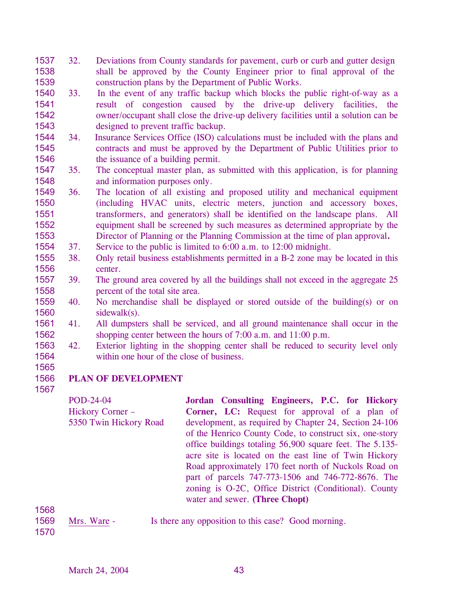- 1537 1538 1539 32. Deviations from County standards for pavement, curb or curb and gutter design shall be approved by the County Engineer prior to final approval of the construction plans by the Department of Public Works.
- 1540 1541 1542 1543 33. In the event of any traffic backup which blocks the public right-of-way as a result of congestion caused by the drive-up delivery facilities, the owner/occupant shall close the drive-up delivery facilities until a solution can be designed to prevent traffic backup.
- 1544 1545 1546 34. Insurance Services Office (ISO) calculations must be included with the plans and contracts and must be approved by the Department of Public Utilities prior to the issuance of a building permit.
- 1547 1548 35. The conceptual master plan, as submitted with this application, is for planning and information purposes only.
- 1549 1550 1551 1552 1553 36. The location of all existing and proposed utility and mechanical equipment (including HVAC units, electric meters, junction and accessory boxes, transformers, and generators) shall be identified on the landscape plans. All equipment shall be screened by such measures as determined appropriate by the Director of Planning or the Planning Commission at the time of plan approval**.**
- 1554 37. Service to the public is limited to 6:00 a.m. to 12:00 midnight.
- 1555 1556 38. Only retail business establishments permitted in a B-2 zone may be located in this center.
- 1557 1558 39. The ground area covered by all the buildings shall not exceed in the aggregate 25 percent of the total site area.
- 1559 1560 40. No merchandise shall be displayed or stored outside of the building(s) or on sidewalk(s).
- 1561 1562 41. All dumpsters shall be serviced, and all ground maintenance shall occur in the shopping center between the hours of 7:00 a.m. and 11:00 p.m.
- 1563 1564 42. Exterior lighting in the shopping center shall be reduced to security level only within one hour of the close of business.
- 1565 1566

1567

# **PLAN OF DEVELOPMENT**

POD-24-04 Hickory Corner – 5350 Twin Hickory Road **Jordan Consulting Engineers, P.C. for Hickory Corner, LC:** Request for approval of a plan of development, as required by Chapter 24, Section 24-106 of the Henrico County Code, to construct six, one-story office buildings totaling 56,900 square feet. The 5.135 acre site is located on the east line of Twin Hickory Road approximately 170 feet north of Nuckols Road on part of parcels 747-773-1506 and 746-772-8676. The zoning is O-2C, Office District (Conditional). County water and sewer. **(Three Chopt)** 

1568

1569 Mrs. Ware - Is there any opposition to this case? Good morning.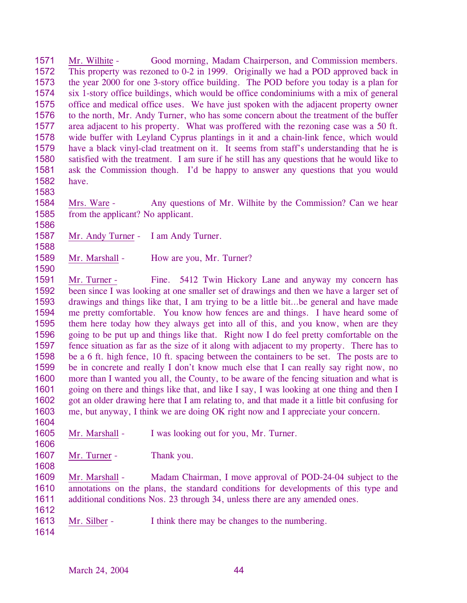1571 1572 1573 1574 1575 1576 1577 1578 1579 1580 1581 1582 Mr. Wilhite - Good morning, Madam Chairperson, and Commission members. This property was rezoned to 0-2 in 1999. Originally we had a POD approved back in the year 2000 for one 3-story office building. The POD before you today is a plan for six 1-story office buildings, which would be office condominiums with a mix of general office and medical office uses. We have just spoken with the adjacent property owner to the north, Mr. Andy Turner, who has some concern about the treatment of the buffer area adjacent to his property. What was proffered with the rezoning case was a 50 ft. wide buffer with Leyland Cyprus plantings in it and a chain-link fence, which would have a black vinyl-clad treatment on it. It seems from staff's understanding that he is satisfied with the treatment. I am sure if he still has any questions that he would like to ask the Commission though. I'd be happy to answer any questions that you would have.

1583

1584 1585 Mrs. Ware - Any questions of Mr. Wilhite by the Commission? Can we hear from the applicant? No applicant.

1586 1587

1588

1590

Mr. Andy Turner - I am Andy Turner.

1589 Mr. Marshall - How are you, Mr. Turner?

1591 1592 1593 1594 1595 1596 1597 1598 1599 1600 1601 1602 1603 1604 Mr. Turner - Fine. 5412 Twin Hickory Lane and anyway my concern has been since I was looking at one smaller set of drawings and then we have a larger set of drawings and things like that, I am trying to be a little bit…be general and have made me pretty comfortable. You know how fences are and things. I have heard some of them here today how they always get into all of this, and you know, when are they going to be put up and things like that. Right now I do feel pretty comfortable on the fence situation as far as the size of it along with adjacent to my property. There has to be a 6 ft. high fence, 10 ft. spacing between the containers to be set. The posts are to be in concrete and really I don't know much else that I can really say right now, no more than I wanted you all, the County, to be aware of the fencing situation and what is going on there and things like that, and like I say, I was looking at one thing and then I got an older drawing here that I am relating to, and that made it a little bit confusing for me, but anyway, I think we are doing OK right now and I appreciate your concern.

- 1605 Mr. Marshall - I was looking out for you, Mr. Turner.
- 1606

1608

1607 Mr. Turner - Thank you.

1609 1610 1611 Mr. Marshall - Madam Chairman, I move approval of POD-24-04 subject to the annotations on the plans, the standard conditions for developments of this type and additional conditions Nos. 23 through 34, unless there are any amended ones.

1612

1613 Mr. Silber - I think there may be changes to the numbering.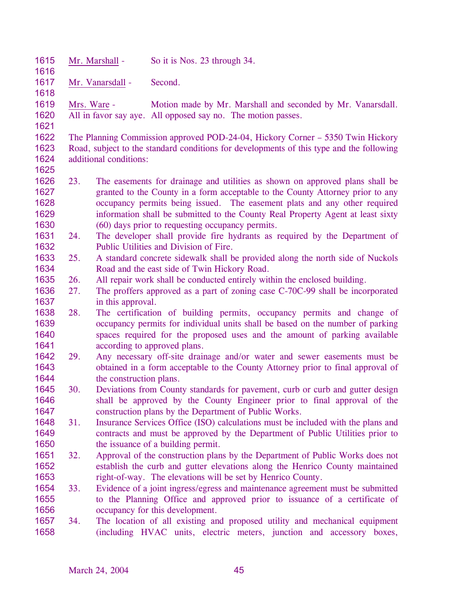| 1615         |     | Mr. Marshall -                                                            | So it is Nos. 23 through 34.                                                             |  |
|--------------|-----|---------------------------------------------------------------------------|------------------------------------------------------------------------------------------|--|
| 1616<br>1617 |     | Mr. Vanarsdall -                                                          | Second.                                                                                  |  |
| 1618         |     |                                                                           |                                                                                          |  |
| 1619         |     | Mrs. Ware -                                                               | Motion made by Mr. Marshall and seconded by Mr. Vanarsdall.                              |  |
| 1620         |     |                                                                           | All in favor say aye. All opposed say no. The motion passes.                             |  |
| 1621         |     |                                                                           |                                                                                          |  |
| 1622         |     |                                                                           | The Planning Commission approved POD-24-04, Hickory Corner – 5350 Twin Hickory           |  |
| 1623         |     |                                                                           | Road, subject to the standard conditions for developments of this type and the following |  |
| 1624         |     | additional conditions:                                                    |                                                                                          |  |
| 1625         |     |                                                                           |                                                                                          |  |
| 1626         | 23. |                                                                           | The easements for drainage and utilities as shown on approved plans shall be             |  |
| 1627         |     |                                                                           | granted to the County in a form acceptable to the County Attorney prior to any           |  |
| 1628         |     |                                                                           | occupancy permits being issued. The easement plats and any other required                |  |
| 1629         |     |                                                                           | information shall be submitted to the County Real Property Agent at least sixty          |  |
| 1630         |     |                                                                           | (60) days prior to requesting occupancy permits.                                         |  |
| 1631         | 24. |                                                                           | The developer shall provide fire hydrants as required by the Department of               |  |
| 1632         |     |                                                                           | Public Utilities and Division of Fire.                                                   |  |
| 1633         | 25. |                                                                           | A standard concrete sidewalk shall be provided along the north side of Nuckols           |  |
| 1634         | 26. |                                                                           | Road and the east side of Twin Hickory Road.                                             |  |
| 1635<br>1636 | 27. |                                                                           | All repair work shall be conducted entirely within the enclosed building.                |  |
| 1637         |     |                                                                           | The proffers approved as a part of zoning case C-70C-99 shall be incorporated            |  |
| 1638         | 28. | in this approval.                                                         | The certification of building permits, occupancy permits and change of                   |  |
| 1639         |     |                                                                           | occupancy permits for individual units shall be based on the number of parking           |  |
| 1640         |     | spaces required for the proposed uses and the amount of parking available |                                                                                          |  |
| 1641         |     | according to approved plans.                                              |                                                                                          |  |
| 1642         | 29. | Any necessary off-site drainage and/or water and sewer easements must be  |                                                                                          |  |
| 1643         |     |                                                                           | obtained in a form acceptable to the County Attorney prior to final approval of          |  |
| 1644         |     | the construction plans.                                                   |                                                                                          |  |
| 1645         | 30. |                                                                           | Deviations from County standards for pavement, curb or curb and gutter design            |  |
| 1646         |     |                                                                           | shall be approved by the County Engineer prior to final approval of the                  |  |
| 1647         |     |                                                                           | construction plans by the Department of Public Works.                                    |  |
| 1648         | 31. |                                                                           | Insurance Services Office (ISO) calculations must be included with the plans and         |  |
| 1649         |     |                                                                           | contracts and must be approved by the Department of Public Utilities prior to            |  |
| 1650         |     |                                                                           | the issuance of a building permit.                                                       |  |
| 1651         | 32. |                                                                           | Approval of the construction plans by the Department of Public Works does not            |  |
| 1652         |     |                                                                           | establish the curb and gutter elevations along the Henrico County maintained             |  |
| 1653         |     |                                                                           | right-of-way. The elevations will be set by Henrico County.                              |  |
| 1654         | 33. |                                                                           | Evidence of a joint ingress/egress and maintenance agreement must be submitted           |  |
| 1655         |     |                                                                           | to the Planning Office and approved prior to issuance of a certificate of                |  |
| 1656         |     |                                                                           | occupancy for this development.                                                          |  |
| 1657         | 34. |                                                                           | The location of all existing and proposed utility and mechanical equipment               |  |
| 1658         |     |                                                                           | (including HVAC units, electric meters, junction and accessory boxes,                    |  |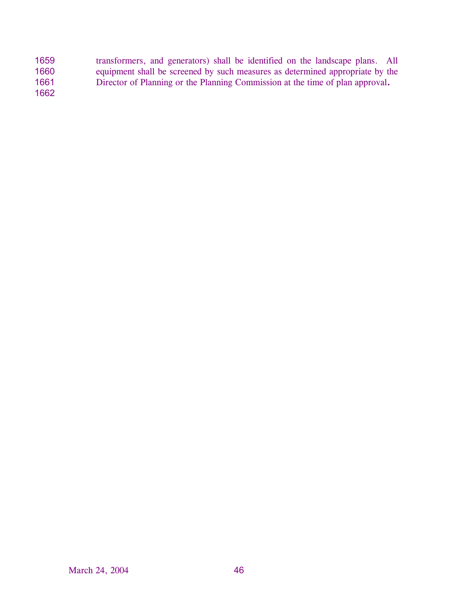| 1659 | transformers, and generators) shall be identified on the landscape plans. All |
|------|-------------------------------------------------------------------------------|
| 1660 | equipment shall be screened by such measures as determined appropriate by the |
| 1661 | Director of Planning or the Planning Commission at the time of plan approval. |
| 1662 |                                                                               |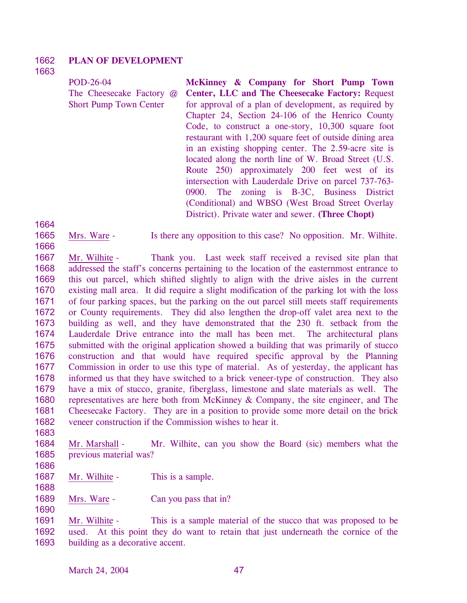#### 1662 **PLAN OF DEVELOPMENT**

# 1663

1664

1666

POD-26-04 The Cheesecake Factory @ Short Pump Town Center

**McKinney & Company for Short Pump Town Center, LLC and The Cheesecake Factory:** Request for approval of a plan of development, as required by Chapter 24, Section 24-106 of the Henrico County Code, to construct a one-story, 10,300 square foot restaurant with 1,200 square feet of outside dining area in an existing shopping center. The 2.59-acre site is located along the north line of W. Broad Street (U.S. Route 250) approximately 200 feet west of its intersection with Lauderdale Drive on parcel 737-763- 0900. The zoning is B-3C, Business District (Conditional) and WBSO (West Broad Street Overlay District). Private water and sewer. **(Three Chopt)** 

1665 Mrs. Ware - Is there any opposition to this case? No opposition. Mr. Wilhite.

1667 1668 1669 1670 1671 1672 1673 1674 1675 1676 1677 1678 1679 1680 1681 1682 Mr. Wilhite - Thank you. Last week staff received a revised site plan that addressed the staff's concerns pertaining to the location of the easternmost entrance to this out parcel, which shifted slightly to align with the drive aisles in the current existing mall area. It did require a slight modification of the parking lot with the loss of four parking spaces, but the parking on the out parcel still meets staff requirements or County requirements. They did also lengthen the drop-off valet area next to the building as well, and they have demonstrated that the 230 ft. setback from the Lauderdale Drive entrance into the mall has been met. The architectural plans submitted with the original application showed a building that was primarily of stucco construction and that would have required specific approval by the Planning Commission in order to use this type of material. As of yesterday, the applicant has informed us that they have switched to a brick veneer-type of construction. They also have a mix of stucco, granite, fiberglass, limestone and slate materials as well. The representatives are here both from McKinney & Company, the site engineer, and The Cheesecake Factory. They are in a position to provide some more detail on the brick veneer construction if the Commission wishes to hear it.

1683

1684 1685 Mr. Marshall - Mr. Wilhite, can you show the Board (sic) members what the previous material was?

1686

1690

1687 1688 Mr. Wilhite - This is a sample.

1689 Mrs. Ware - Can you pass that in?

Mr. Wilhite - This is a sample material of the stucco that was proposed to be used. At this point they do want to retain that just underneath the cornice of the building as a decorative accent. 1691 1692 1693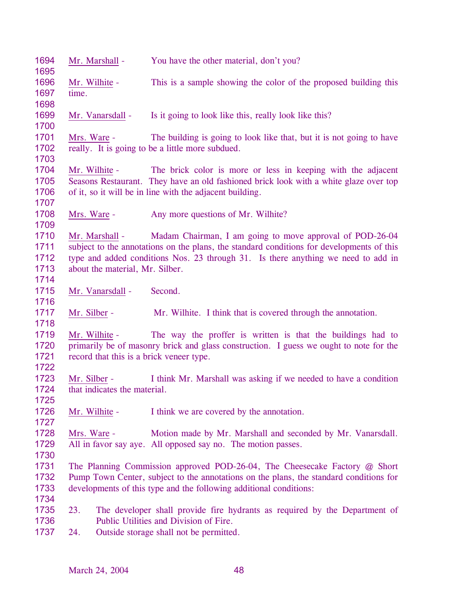| 1694<br>1695                         | Mr. Marshall -                                            | You have the other material, don't you?                                                                                                                                                                                                           |
|--------------------------------------|-----------------------------------------------------------|---------------------------------------------------------------------------------------------------------------------------------------------------------------------------------------------------------------------------------------------------|
| 1696<br>1697                         | Mr. Wilhite -<br>time.                                    | This is a sample showing the color of the proposed building this                                                                                                                                                                                  |
| 1698<br>1699<br>1700                 | Mr. Vanarsdall -                                          | Is it going to look like this, really look like this?                                                                                                                                                                                             |
| 1701<br>1702                         | Mrs. Ware -                                               | The building is going to look like that, but it is not going to have<br>really. It is going to be a little more subdued.                                                                                                                          |
| 1703<br>1704<br>1705<br>1706<br>1707 | Mr. Wilhite -                                             | The brick color is more or less in keeping with the adjacent<br>Seasons Restaurant. They have an old fashioned brick look with a white glaze over top<br>of it, so it will be in line with the adjacent building.                                 |
| 1708<br>1709                         | Mrs. Ware -                                               | Any more questions of Mr. Wilhite?                                                                                                                                                                                                                |
| 1710<br>1711<br>1712<br>1713<br>1714 | Mr. Marshall -<br>about the material, Mr. Silber.         | Madam Chairman, I am going to move approval of POD-26-04<br>subject to the annotations on the plans, the standard conditions for developments of this<br>type and added conditions Nos. 23 through 31. Is there anything we need to add in        |
| 1715<br>1716                         | Mr. Vanarsdall -                                          | Second.                                                                                                                                                                                                                                           |
| 1717<br>1718                         | Mr. Silber -                                              | Mr. Wilhite. I think that is covered through the annotation.                                                                                                                                                                                      |
| 1719<br>1720<br>1721<br>1722         | Mr. Wilhite -<br>record that this is a brick veneer type. | The way the proffer is written is that the buildings had to<br>primarily be of masonry brick and glass construction. I guess we ought to note for the                                                                                             |
| 1723<br>1724<br>1725                 | Mr. Silber -<br>that indicates the material.              | I think Mr. Marshall was asking if we needed to have a condition                                                                                                                                                                                  |
| 1726<br>1727                         | Mr. Wilhite -                                             | I think we are covered by the annotation.                                                                                                                                                                                                         |
| 1728<br>1729<br>1730                 | Mrs. Ware -                                               | Motion made by Mr. Marshall and seconded by Mr. Vanarsdall.<br>All in favor say aye. All opposed say no. The motion passes.                                                                                                                       |
| 1731<br>1732<br>1733<br>1734         |                                                           | The Planning Commission approved POD-26-04, The Cheesecake Factory $\omega$ Short<br>Pump Town Center, subject to the annotations on the plans, the standard conditions for<br>developments of this type and the following additional conditions: |
| 1735<br>1736<br>1737                 | 23.<br>24.                                                | The developer shall provide fire hydrants as required by the Department of<br>Public Utilities and Division of Fire.<br>Outside storage shall not be permitted.                                                                                   |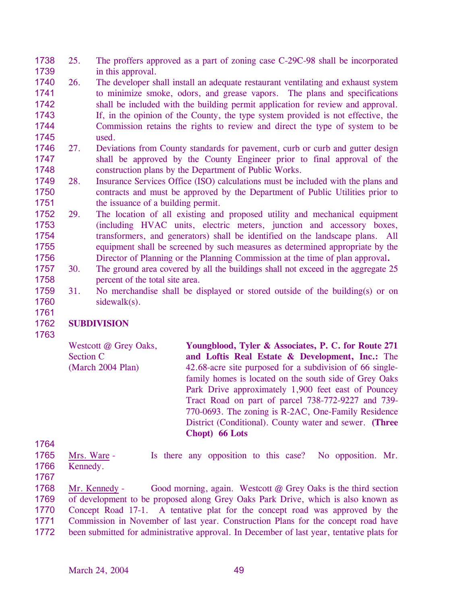- 1738 1739 25. The proffers approved as a part of zoning case C-29C-98 shall be incorporated in this approval.
- 1740 1741 1742 1743 1744 1745 26. The developer shall install an adequate restaurant ventilating and exhaust system to minimize smoke, odors, and grease vapors. The plans and specifications shall be included with the building permit application for review and approval. If, in the opinion of the County, the type system provided is not effective, the Commission retains the rights to review and direct the type of system to be used.
- 1746 1747 1748 27. Deviations from County standards for pavement, curb or curb and gutter design shall be approved by the County Engineer prior to final approval of the construction plans by the Department of Public Works.
- 1749 1750 1751 28. Insurance Services Office (ISO) calculations must be included with the plans and contracts and must be approved by the Department of Public Utilities prior to the issuance of a building permit.
- 1752 1753 1754 1755 1756 29. The location of all existing and proposed utility and mechanical equipment (including HVAC units, electric meters, junction and accessory boxes, transformers, and generators) shall be identified on the landscape plans. All equipment shall be screened by such measures as determined appropriate by the Director of Planning or the Planning Commission at the time of plan approval**.**
- 1757 1758 30. The ground area covered by all the buildings shall not exceed in the aggregate 25 percent of the total site area.
- 1759 1760 1761 31. No merchandise shall be displayed or stored outside of the building(s) or on sidewalk(s).

## 1762 **SUBDIVISION**

1763

Westcott @ Grey Oaks, Section C (March 2004 Plan) **Youngblood, Tyler & Associates, P. C. for Route 271 and Loftis Real Estate & Development, Inc.:** The 42.68-acre site purposed for a subdivision of 66 singlefamily homes is located on the south side of Grey Oaks Park Drive approximately 1,900 feet east of Pouncey Tract Road on part of parcel 738-772-9227 and 739- 770-0693. The zoning is R-2AC, One-Family Residence District (Conditional). County water and sewer. **(Three Chopt) 66 Lots** 

1765 1766 Mrs. Ware - Is there any opposition to this case? No opposition. Mr. Kennedy.

1767

1764

Mr. Kennedy - Good morning, again. Westcott  $\omega$  Grey Oaks is the third section of development to be proposed along Grey Oaks Park Drive, which is also known as Concept Road 17-1. A tentative plat for the concept road was approved by the Commission in November of last year. Construction Plans for the concept road have been submitted for administrative approval. In December of last year, tentative plats for 1768 1769 1770 1771 1772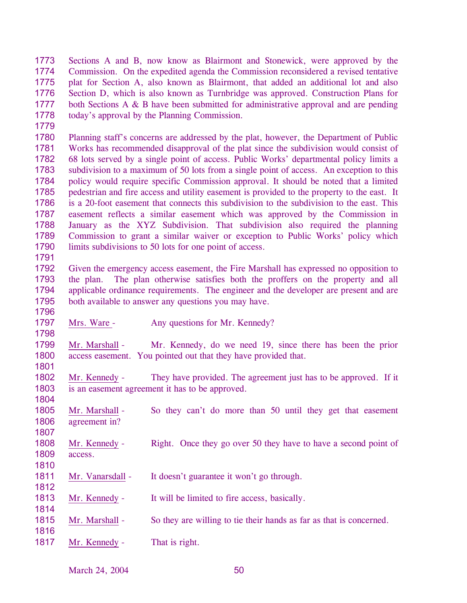1773 1774 1775 1776 1777 1778 Sections A and B, now know as Blairmont and Stonewick, were approved by the Commission. On the expedited agenda the Commission reconsidered a revised tentative plat for Section A, also known as Blairmont, that added an additional lot and also Section D, which is also known as Turnbridge was approved. Construction Plans for both Sections A & B have been submitted for administrative approval and are pending today's approval by the Planning Commission.

1779

1780 1781 1782 1783 1784 1785 1786 1787 1788 1789 1790 Planning staff's concerns are addressed by the plat, however, the Department of Public Works has recommended disapproval of the plat since the subdivision would consist of 68 lots served by a single point of access. Public Works' departmental policy limits a subdivision to a maximum of 50 lots from a single point of access. An exception to this policy would require specific Commission approval. It should be noted that a limited pedestrian and fire access and utility easement is provided to the property to the east. It is a 20-foot easement that connects this subdivision to the subdivision to the east. This easement reflects a similar easement which was approved by the Commission in January as the XYZ Subdivision. That subdivision also required the planning Commission to grant a similar waiver or exception to Public Works' policy which limits subdivisions to 50 lots for one point of access.

1791

1796

1798

1801

1804

1807

1810

1812

1814

1816

1792 1793 1794 1795 Given the emergency access easement, the Fire Marshall has expressed no opposition to the plan. The plan otherwise satisfies both the proffers on the property and all applicable ordinance requirements. The engineer and the developer are present and are both available to answer any questions you may have.

1797 Mrs. Ware - Any questions for Mr. Kennedy?

1799 1800 Mr. Marshall - Mr. Kennedy, do we need 19, since there has been the prior access easement. You pointed out that they have provided that.

1802 1803 Mr. Kennedy - They have provided. The agreement just has to be approved. If it is an easement agreement it has to be approved.

1805 1806 Mr. Marshall - So they can't do more than 50 until they get that easement agreement in?

1808 1809 Mr. Kennedy - Right. Once they go over 50 they have to have a second point of access.

- 1811 Mr. Vanarsdall - It doesn't guarantee it won't go through.
- 1813 Mr. Kennedy - It will be limited to fire access, basically.
- 1815 Mr. Marshall - So they are willing to tie their hands as far as that is concerned.
- 1817 Mr. Kennedy That is right.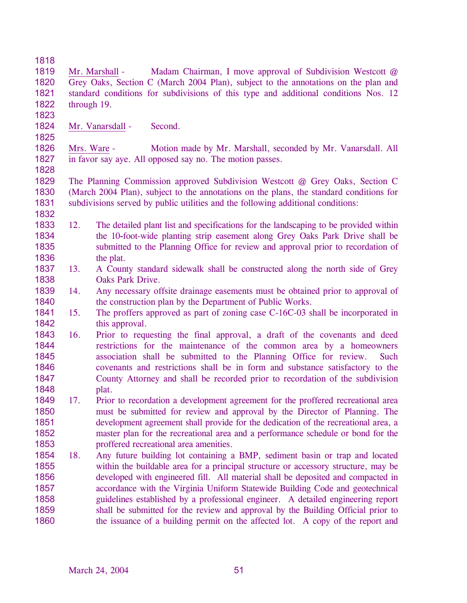1818

1823

1825

1832

1819 1820 1821 1822 Mr. Marshall - Madam Chairman, I move approval of Subdivision Westcott @ Grey Oaks, Section C (March 2004 Plan), subject to the annotations on the plan and standard conditions for subdivisions of this type and additional conditions Nos. 12 through 19.

1824 Mr. Vanarsdall - Second.

1826 1827 1828 Mrs. Ware - Motion made by Mr. Marshall, seconded by Mr. Vanarsdall. All in favor say aye. All opposed say no. The motion passes.

1829 1830 1831 The Planning Commission approved Subdivision Westcott @ Grey Oaks, Section C (March 2004 Plan), subject to the annotations on the plans, the standard conditions for subdivisions served by public utilities and the following additional conditions:

- 1833 1834 1835 1836 12. The detailed plant list and specifications for the landscaping to be provided within the 10**-**foot-wide planting strip easement along Grey Oaks Park Drive shall be submitted to the Planning Office for review and approval prior to recordation of the plat.
- 1837 1838 13. A County standard sidewalk shall be constructed along the north side of Grey Oaks Park Drive.
- 1839 1840 14. Any necessary offsite drainage easements must be obtained prior to approval of the construction plan by the Department of Public Works.
- 1841 1842 15. The proffers approved as part of zoning case C-16C-03 shall be incorporated in this approval.
- 1843 1844 1845 1846 1847 1848 16. Prior to requesting the final approval, a draft of the covenants and deed restrictions for the maintenance of the common area by a homeowners association shall be submitted to the Planning Office for review. Such covenants and restrictions shall be in form and substance satisfactory to the County Attorney and shall be recorded prior to recordation of the subdivision plat.
- 1849 1850 1851 1852 1853 17. Prior to recordation a development agreement for the proffered recreational area must be submitted for review and approval by the Director of Planning. The development agreement shall provide for the dedication of the recreational area, a master plan for the recreational area and a performance schedule or bond for the proffered recreational area amenities.
- 1854 1855 1856 1857 1858 1859 1860 18. Any future building lot containing a BMP, sediment basin or trap and located within the buildable area for a principal structure or accessory structure, may be developed with engineered fill. All material shall be deposited and compacted in accordance with the Virginia Uniform Statewide Building Code and geotechnical guidelines established by a professional engineer. A detailed engineering report shall be submitted for the review and approval by the Building Official prior to the issuance of a building permit on the affected lot. A copy of the report and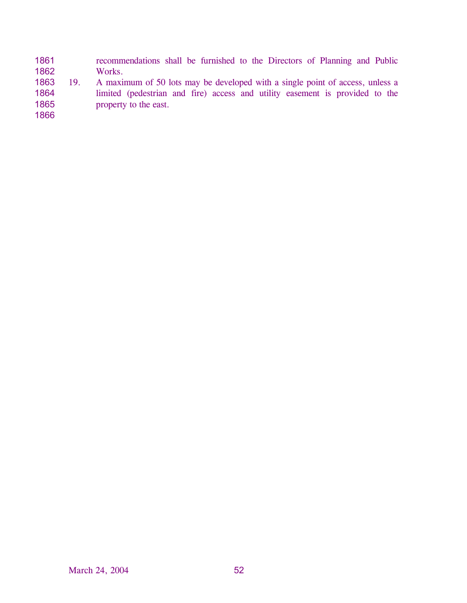- 1861 1862 recommendations shall be furnished to the Directors of Planning and Public Works.
- 1863 1864 1865 19. A maximum of 50 lots may be developed with a single point of access, unless a limited (pedestrian and fire) access and utility easement is provided to the property to the east.
- 1866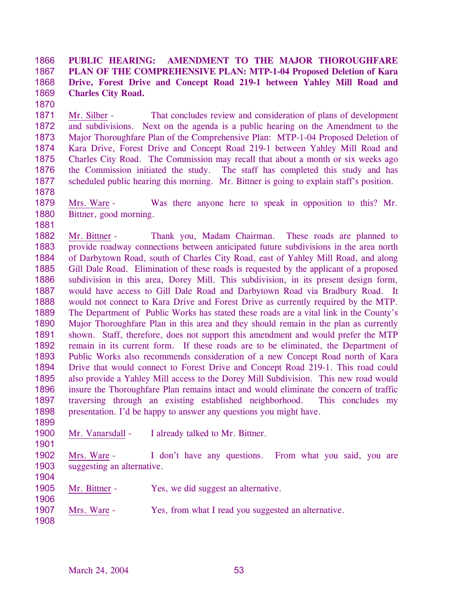#### 1866 1867 1868 1869 **PUBLIC HEARING: AMENDMENT TO THE MAJOR THOROUGHFARE PLAN OF THE COMPREHENSIVE PLAN: MTP-1-04 Proposed Deletion of Kara Drive, Forest Drive and Concept Road 219-1 between Yahley Mill Road and Charles City Road.**

1870

1871 1872 1873 1874 1875 1876 1877 Mr. Silber - That concludes review and consideration of plans of development and subdivisions. Next on the agenda is a public hearing on the Amendment to the Major Thoroughfare Plan of the Comprehensive Plan: MTP-1-04 Proposed Deletion of Kara Drive, Forest Drive and Concept Road 219-1 between Yahley Mill Road and Charles City Road. The Commission may recall that about a month or six weeks ago the Commission initiated the study. The staff has completed this study and has scheduled public hearing this morning. Mr. Bittner is going to explain staff's position.

- 1878
- 1879 1880 1881 Mrs. Ware - Was there anyone here to speak in opposition to this? Mr. Bittner, good morning.

1882 1883 1884 1885 1886 1887 1888 1889 1890 1891 1892 1893 1894 1895 1896 1897 1898 Mr. Bittner *-* Thank you, Madam Chairman. These roads are planned to provide roadway connections between anticipated future subdivisions in the area north of Darbytown Road, south of Charles City Road, east of Yahley Mill Road, and along Gill Dale Road. Elimination of these roads is requested by the applicant of a proposed subdivision in this area, Dorey Mill. This subdivision, in its present design form, would have access to Gill Dale Road and Darbytown Road via Bradbury Road. It would not connect to Kara Drive and Forest Drive as currently required by the MTP. The Department of Public Works has stated these roads are a vital link in the County's Major Thoroughfare Plan in this area and they should remain in the plan as currently shown. Staff, therefore, does not support this amendment and would prefer the MTP remain in its current form. If these roads are to be eliminated, the Department of Public Works also recommends consideration of a new Concept Road north of Kara Drive that would connect to Forest Drive and Concept Road 219-1. This road could also provide a Yahley Mill access to the Dorey Mill Subdivision. This new road would insure the Thoroughfare Plan remains intact and would eliminate the concern of traffic traversing through an existing established neighborhood. This concludes my presentation. I'd be happy to answer any questions you might have.

1900

1899

1901

1904

- Mr. Vanarsdall I already talked to Mr. Bittner.
- 1902 1903 Mrs. Ware - I don't have any questions. From what you said, you are suggesting an alternative.
- 1905 Mr. Bittner - Yes, we did suggest an alternative.
- 1907 Mrs. Ware - Yes, from what I read you suggested an alternative.
- 1908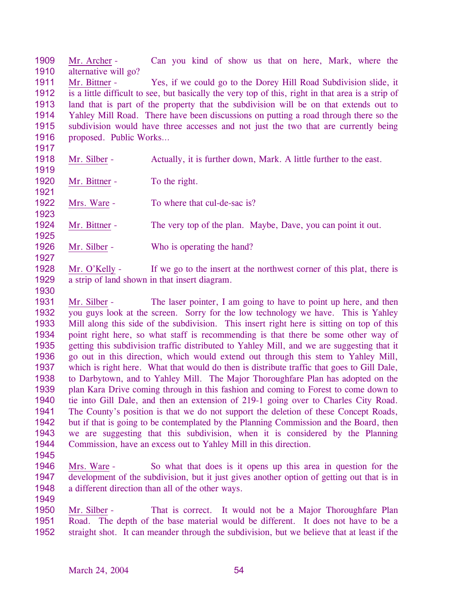1909 1910 Mr. Archer - Can you kind of show us that on here, Mark, where the alternative will go?

1911 1912 1913 1914 1915 1916 Mr. Bittner - Yes, if we could go to the Dorey Hill Road Subdivision slide, it is a little difficult to see, but basically the very top of this, right in that area is a strip of land that is part of the property that the subdivision will be on that extends out to Yahley Mill Road. There have been discussions on putting a road through there so the subdivision would have three accesses and not just the two that are currently being proposed. Public Works…

- 1918 Mr. Silber - Actually, it is further down, Mark. A little further to the east.
- 1920 Mr. Bittner - To the right.
- 1922 Mrs. Ware - To where that cul-de-sac is?
- 1924 Mr. Bittner - The very top of the plan. Maybe, Dave, you can point it out.
- 1926 Mr. Silber - Who is operating the hand?
- 1928 1929 Mr. O'Kelly - If we go to the insert at the northwest corner of this plat, there is a strip of land shown in that insert diagram.
- 1930

1917

1919

1921

1923

1925

1927

1931 1932 1933 1934 1935 1936 1937 1938 1939 1940 1941 1942 1943 1944 Mr. Silber - The laser pointer, I am going to have to point up here, and then you guys look at the screen. Sorry for the low technology we have. This is Yahley Mill along this side of the subdivision. This insert right here is sitting on top of this point right here, so what staff is recommending is that there be some other way of getting this subdivision traffic distributed to Yahley Mill, and we are suggesting that it go out in this direction, which would extend out through this stem to Yahley Mill, which is right here. What that would do then is distribute traffic that goes to Gill Dale, to Darbytown, and to Yahley Mill. The Major Thoroughfare Plan has adopted on the plan Kara Drive coming through in this fashion and coming to Forest to come down to tie into Gill Dale, and then an extension of 219-1 going over to Charles City Road. The County's position is that we do not support the deletion of these Concept Roads, but if that is going to be contemplated by the Planning Commission and the Board, then we are suggesting that this subdivision, when it is considered by the Planning Commission, have an excess out to Yahley Mill in this direction.

- 1945
- 1946 1947 1948 Mrs. Ware - So what that does is it opens up this area in question for the development of the subdivision, but it just gives another option of getting out that is in a different direction than all of the other ways.
- 1949

Mr. Silber - That is correct. It would not be a Major Thoroughfare Plan Road. The depth of the base material would be different. It does not have to be a straight shot. It can meander through the subdivision, but we believe that at least if the 1950 1951 1952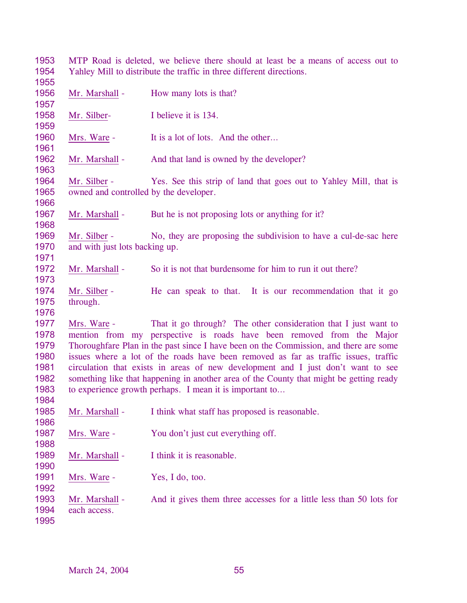MTP Road is deleted, we believe there should at least be a means of access out to Yahley Mill to distribute the traffic in three different directions. Mr. Marshall - How many lots is that? Mr. Silber- I believe it is 134. Mrs. Ware - It is a lot of lots. And the other... Mr. Marshall - And that land is owned by the developer? Mr. Silber - Yes. See this strip of land that goes out to Yahley Mill, that is owned and controlled by the developer. Mr. Marshall - But he is not proposing lots or anything for it? Mr. Silber - No, they are proposing the subdivision to have a cul-de-sac here and with just lots backing up. Mr. Marshall - So it is not that burdensome for him to run it out there? Mr. Silber - He can speak to that. It is our recommendation that it go through. Mrs. Ware - That it go through? The other consideration that I just want to mention from my perspective is roads have been removed from the Major Thoroughfare Plan in the past since I have been on the Commission, and there are some issues where a lot of the roads have been removed as far as traffic issues, traffic circulation that exists in areas of new development and I just don't want to see something like that happening in another area of the County that might be getting ready to experience growth perhaps. I mean it is important to… Mr. Marshall - I think what staff has proposed is reasonable. Mrs. Ware - You don't just cut everything off. Mr. Marshall - I think it is reasonable. Mrs. Ware - Yes, I do, too. Mr. Marshall - And it gives them three accesses for a little less than 50 lots for each access.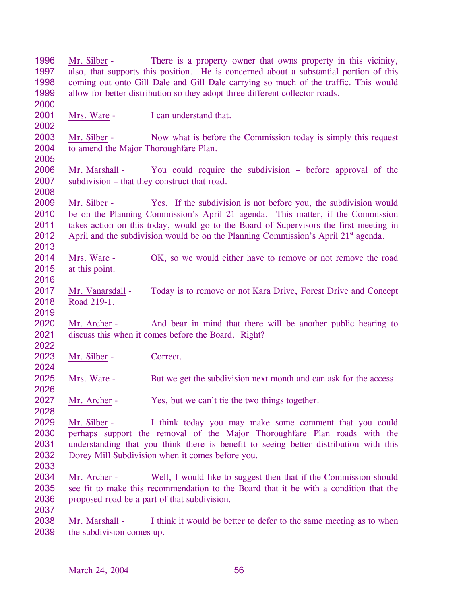| 1996 | Mr. Silber -                                                                        | There is a property owner that owns property in this vicinity,                                 |  |
|------|-------------------------------------------------------------------------------------|------------------------------------------------------------------------------------------------|--|
| 1997 |                                                                                     | also, that supports this position. He is concerned about a substantial portion of this         |  |
| 1998 | coming out onto Gill Dale and Gill Dale carrying so much of the traffic. This would |                                                                                                |  |
| 1999 |                                                                                     | allow for better distribution so they adopt three different collector roads.                   |  |
| 2000 |                                                                                     |                                                                                                |  |
| 2001 | Mrs. Ware -                                                                         | I can understand that.                                                                         |  |
| 2002 |                                                                                     |                                                                                                |  |
| 2003 | Mr. Silber -                                                                        | Now what is before the Commission today is simply this request                                 |  |
| 2004 | to amend the Major Thoroughfare Plan.                                               |                                                                                                |  |
| 2005 |                                                                                     |                                                                                                |  |
| 2006 | Mr. Marshall -                                                                      | You could require the subdivision – before approval of the                                     |  |
| 2007 |                                                                                     | subdivision – that they construct that road.                                                   |  |
| 2008 |                                                                                     |                                                                                                |  |
| 2009 | Mr. Silber -                                                                        | Yes. If the subdivision is not before you, the subdivision would                               |  |
| 2010 |                                                                                     | be on the Planning Commission's April 21 agenda. This matter, if the Commission                |  |
| 2011 |                                                                                     | takes action on this today, would go to the Board of Supervisors the first meeting in          |  |
| 2012 |                                                                                     | April and the subdivision would be on the Planning Commission's April 21 <sup>st</sup> agenda. |  |
| 2013 |                                                                                     |                                                                                                |  |
| 2014 | Mrs. Ware -                                                                         | OK, so we would either have to remove or not remove the road                                   |  |
| 2015 | at this point.                                                                      |                                                                                                |  |
| 2016 |                                                                                     |                                                                                                |  |
| 2017 | Mr. Vanarsdall -                                                                    | Today is to remove or not Kara Drive, Forest Drive and Concept                                 |  |
| 2018 | Road 219-1.                                                                         |                                                                                                |  |
| 2019 |                                                                                     |                                                                                                |  |
| 2020 | Mr. Archer -                                                                        | And bear in mind that there will be another public hearing to                                  |  |
| 2021 |                                                                                     | discuss this when it comes before the Board. Right?                                            |  |
| 2022 |                                                                                     |                                                                                                |  |
| 2023 | Mr. Silber -                                                                        | Correct.                                                                                       |  |
| 2024 |                                                                                     |                                                                                                |  |
| 2025 | Mrs. Ware -                                                                         | But we get the subdivision next month and can ask for the access.                              |  |
| 2026 |                                                                                     |                                                                                                |  |
| 2027 | Mr. Archer -                                                                        | Yes, but we can't tie the two things together.                                                 |  |
| 2028 |                                                                                     |                                                                                                |  |
| 2029 | Mr. Silber -                                                                        | I think today you may make some comment that you could                                         |  |
| 2030 |                                                                                     | perhaps support the removal of the Major Thoroughfare Plan roads with the                      |  |
| 2031 |                                                                                     |                                                                                                |  |
| 2032 |                                                                                     | understanding that you think there is benefit to seeing better distribution with this          |  |
|      |                                                                                     | Dorey Mill Subdivision when it comes before you.                                               |  |
| 2033 |                                                                                     |                                                                                                |  |
| 2034 | Mr. Archer -                                                                        | Well, I would like to suggest then that if the Commission should                               |  |
| 2035 |                                                                                     | see fit to make this recommendation to the Board that it be with a condition that the          |  |
| 2036 |                                                                                     | proposed road be a part of that subdivision.                                                   |  |
| 2037 |                                                                                     |                                                                                                |  |
| 2038 | Mr. Marshall -                                                                      | I think it would be better to defer to the same meeting as to when                             |  |
| 2039 | the subdivision comes up.                                                           |                                                                                                |  |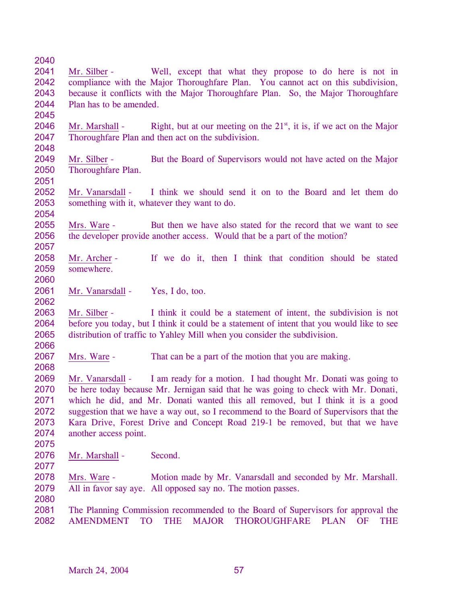| 2040 |                               |                                                                                             |
|------|-------------------------------|---------------------------------------------------------------------------------------------|
| 2041 | Mr. Silber -                  | Well, except that what they propose to do here is not in                                    |
| 2042 |                               | compliance with the Major Thoroughfare Plan. You cannot act on this subdivision,            |
| 2043 |                               | because it conflicts with the Major Thoroughfare Plan. So, the Major Thoroughfare           |
| 2044 | Plan has to be amended.       |                                                                                             |
| 2045 |                               |                                                                                             |
| 2046 | Mr. Marshall -                | Right, but at our meeting on the $21st$ , it is, if we act on the Major                     |
| 2047 |                               | Thoroughfare Plan and then act on the subdivision.                                          |
| 2048 |                               |                                                                                             |
| 2049 | Mr. Silber -                  | But the Board of Supervisors would not have acted on the Major                              |
| 2050 | Thoroughfare Plan.            |                                                                                             |
| 2051 |                               |                                                                                             |
| 2052 | Mr. Vanarsdall -              | I think we should send it on to the Board and let them do                                   |
| 2053 |                               | something with it, whatever they want to do.                                                |
| 2054 |                               |                                                                                             |
| 2055 | Mrs. Ware -                   | But then we have also stated for the record that we want to see                             |
| 2056 |                               | the developer provide another access. Would that be a part of the motion?                   |
| 2057 |                               |                                                                                             |
| 2058 | Mr. Archer -                  | If we do it, then I think that condition should be stated                                   |
| 2059 | somewhere.                    |                                                                                             |
| 2060 |                               |                                                                                             |
| 2061 | Mr. Vanarsdall -              | Yes, I do, too.                                                                             |
| 2062 |                               |                                                                                             |
| 2063 | Mr. Silber -                  | I think it could be a statement of intent, the subdivision is not                           |
| 2064 |                               | before you today, but I think it could be a statement of intent that you would like to see  |
| 2065 |                               | distribution of traffic to Yahley Mill when you consider the subdivision.                   |
| 2066 |                               |                                                                                             |
| 2067 | Mrs. Ware -                   | That can be a part of the motion that you are making.                                       |
| 2068 |                               |                                                                                             |
| 2069 | Mr. Vanarsdall -              | I am ready for a motion. I had thought Mr. Donati was going to                              |
| 2070 |                               | be here today because Mr. Jernigan said that he was going to check with Mr. Donati,         |
| 2071 |                               | which he did, and Mr. Donati wanted this all removed, but I think it is a good              |
| 2072 |                               | suggestion that we have a way out, so I recommend to the Board of Supervisors that the      |
| 2073 |                               | Kara Drive, Forest Drive and Concept Road 219-1 be removed, but that we have                |
| 2074 | another access point.         |                                                                                             |
| 2075 |                               |                                                                                             |
| 2076 | Mr. Marshall -                | Second.                                                                                     |
| 2077 |                               |                                                                                             |
| 2078 | Mrs. Ware -                   | Motion made by Mr. Vanarsdall and seconded by Mr. Marshall.                                 |
| 2079 |                               | All in favor say aye. All opposed say no. The motion passes.                                |
| 2080 |                               |                                                                                             |
| 2081 |                               | The Planning Commission recommended to the Board of Supervisors for approval the            |
| 2082 | <b>AMENDMENT</b><br><b>TO</b> | <b>THE</b><br><b>MAJOR</b><br><b>THOROUGHFARE</b><br><b>PLAN</b><br><b>OF</b><br><b>THE</b> |
|      |                               |                                                                                             |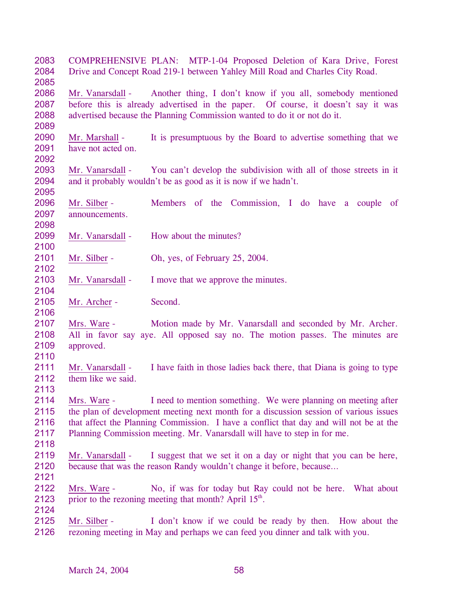| 2083<br>2084<br>2085                 |                                        | COMPREHENSIVE PLAN: MTP-1-04 Proposed Deletion of Kara Drive, Forest<br>Drive and Concept Road 219-1 between Yahley Mill Road and Charles City Road.                                                                                                                                                                          |
|--------------------------------------|----------------------------------------|-------------------------------------------------------------------------------------------------------------------------------------------------------------------------------------------------------------------------------------------------------------------------------------------------------------------------------|
| 2086<br>2087<br>2088<br>2089         |                                        | Mr. Vanarsdall - Another thing, I don't know if you all, somebody mentioned<br>before this is already advertised in the paper. Of course, it doesn't say it was<br>advertised because the Planning Commission wanted to do it or not do it.                                                                                   |
| 2090<br>2091<br>2092                 | Mr. Marshall -<br>have not acted on.   | It is presumptuous by the Board to advertise something that we                                                                                                                                                                                                                                                                |
| 2093<br>2094<br>2095                 | Mr. Vanarsdall -                       | You can't develop the subdivision with all of those streets in it<br>and it probably wouldn't be as good as it is now if we hadn't.                                                                                                                                                                                           |
| 2096<br>2097<br>2098                 | Mr. Silber -<br>announcements.         | Members of the Commission, I do have a couple<br><sub>of</sub>                                                                                                                                                                                                                                                                |
| 2099<br>2100                         | Mr. Vanarsdall -                       | How about the minutes?                                                                                                                                                                                                                                                                                                        |
| 2101<br>2102                         | Mr. Silber -                           | Oh, yes, of February 25, 2004.                                                                                                                                                                                                                                                                                                |
| 2103<br>2104                         | Mr. Vanarsdall -                       | I move that we approve the minutes.                                                                                                                                                                                                                                                                                           |
| 2105<br>2106                         | Mr. Archer -                           | Second.                                                                                                                                                                                                                                                                                                                       |
| 2107<br>2108<br>2109<br>2110         | Mrs. Ware -<br>approved.               | Motion made by Mr. Vanarsdall and seconded by Mr. Archer.<br>All in favor say aye. All opposed say no. The motion passes. The minutes are                                                                                                                                                                                     |
| 2111<br>2112<br>2113                 | Mr. Vanarsdall -<br>them like we said. | I have faith in those ladies back there, that Diana is going to type                                                                                                                                                                                                                                                          |
| 2114<br>2115<br>2116<br>2117<br>2118 | Mrs. Ware -                            | I need to mention something. We were planning on meeting after<br>the plan of development meeting next month for a discussion session of various issues<br>that affect the Planning Commission. I have a conflict that day and will not be at the<br>Planning Commission meeting. Mr. Vanarsdall will have to step in for me. |
| 2119<br>2120<br>2121                 | Mr. Vanarsdall -                       | I suggest that we set it on a day or night that you can be here,<br>because that was the reason Randy wouldn't change it before, because                                                                                                                                                                                      |
| 2122<br>2123<br>2124                 | Mrs. Ware -                            | No, if was for today but Ray could not be here. What about<br>prior to the rezoning meeting that month? April 15 <sup>th</sup> .                                                                                                                                                                                              |
| 2125<br>2126                         | Mr. Silber -                           | I don't know if we could be ready by then. How about the<br>rezoning meeting in May and perhaps we can feed you dinner and talk with you.                                                                                                                                                                                     |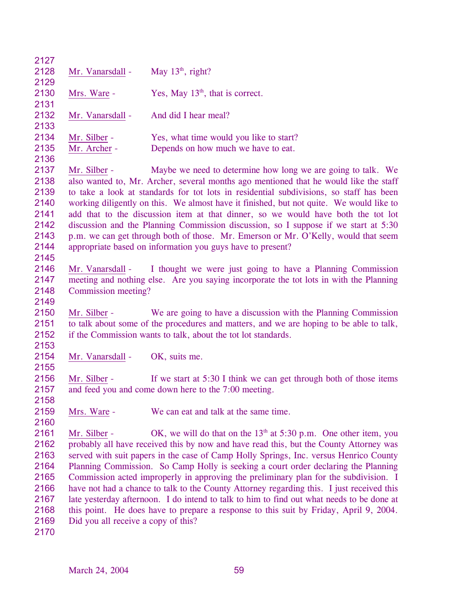| 2127 |                                     |                                                                                           |
|------|-------------------------------------|-------------------------------------------------------------------------------------------|
| 2128 | Mr. Vanarsdall -                    | May $13th$ , right?                                                                       |
| 2129 |                                     |                                                                                           |
| 2130 | Mrs. Ware -                         | Yes, May $13th$ , that is correct.                                                        |
| 2131 |                                     |                                                                                           |
| 2132 | Mr. Vanarsdall -                    | And did I hear meal?                                                                      |
| 2133 |                                     |                                                                                           |
| 2134 | Mr. Silber -                        | Yes, what time would you like to start?                                                   |
| 2135 | Mr. Archer -                        | Depends on how much we have to eat.                                                       |
| 2136 |                                     |                                                                                           |
| 2137 | Mr. Silber -                        | Maybe we need to determine how long we are going to talk. We                              |
| 2138 |                                     | also wanted to, Mr. Archer, several months ago mentioned that he would like the staff     |
| 2139 |                                     | to take a look at standards for tot lots in residential subdivisions, so staff has been   |
| 2140 |                                     | working diligently on this. We almost have it finished, but not quite. We would like to   |
| 2141 |                                     | add that to the discussion item at that dinner, so we would have both the tot lot         |
| 2142 |                                     | discussion and the Planning Commission discussion, so I suppose if we start at 5:30       |
| 2143 |                                     | p.m. we can get through both of those. Mr. Emerson or Mr. O'Kelly, would that seem        |
| 2144 |                                     | appropriate based on information you guys have to present?                                |
| 2145 |                                     |                                                                                           |
| 2146 | Mr. Vanarsdall -                    | I thought we were just going to have a Planning Commission                                |
| 2147 |                                     | meeting and nothing else. Are you saying incorporate the tot lots in with the Planning    |
| 2148 | Commission meeting?                 |                                                                                           |
| 2149 |                                     |                                                                                           |
| 2150 | Mr. Silber -                        | We are going to have a discussion with the Planning Commission                            |
| 2151 |                                     | to talk about some of the procedures and matters, and we are hoping to be able to talk,   |
| 2152 |                                     | if the Commission wants to talk, about the tot lot standards.                             |
| 2153 |                                     |                                                                                           |
| 2154 | Mr. Vanarsdall -                    | OK, suits me.                                                                             |
| 2155 |                                     |                                                                                           |
| 2156 | Mr. Silber -                        | If we start at 5:30 I think we can get through both of those items                        |
| 2157 |                                     | and feed you and come down here to the 7:00 meeting.                                      |
| 2158 |                                     |                                                                                           |
| 2159 | Mrs. Ware -                         | We can eat and talk at the same time.                                                     |
| 2160 |                                     |                                                                                           |
| 2161 | Mr. Silber -                        | OK, we will do that on the $13th$ at 5:30 p.m. One other item, you                        |
| 2162 |                                     | probably all have received this by now and have read this, but the County Attorney was    |
| 2163 |                                     | served with suit papers in the case of Camp Holly Springs, Inc. versus Henrico County     |
| 2164 |                                     | Planning Commission. So Camp Holly is seeking a court order declaring the Planning        |
| 2165 |                                     | Commission acted improperly in approving the preliminary plan for the subdivision. I      |
| 2166 |                                     | have not had a chance to talk to the County Attorney regarding this. I just received this |
| 2167 |                                     | late yesterday afternoon. I do intend to talk to him to find out what needs to be done at |
| 2168 |                                     | this point. He does have to prepare a response to this suit by Friday, April 9, 2004.     |
| 2169 | Did you all receive a copy of this? |                                                                                           |
| 2170 |                                     |                                                                                           |